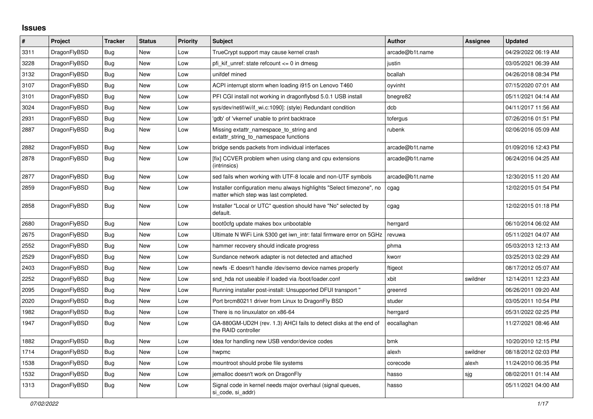## **Issues**

| $\#$ | Project      | <b>Tracker</b> | <b>Status</b> | <b>Priority</b> | <b>Subject</b>                                                                                                | <b>Author</b>   | Assignee | <b>Updated</b>      |
|------|--------------|----------------|---------------|-----------------|---------------------------------------------------------------------------------------------------------------|-----------------|----------|---------------------|
| 3311 | DragonFlyBSD | <b>Bug</b>     | <b>New</b>    | Low             | TrueCrypt support may cause kernel crash                                                                      | arcade@b1t.name |          | 04/29/2022 06:19 AM |
| 3228 | DragonFlyBSD | Bug            | New           | Low             | pfi kif unref: state refcount $\leq 0$ in dmesg                                                               | justin          |          | 03/05/2021 06:39 AM |
| 3132 | DragonFlyBSD | <b>Bug</b>     | New           | Low             | unifdef mined                                                                                                 | bcallah         |          | 04/26/2018 08:34 PM |
| 3107 | DragonFlyBSD | Bug            | <b>New</b>    | Low             | ACPI interrupt storm when loading i915 on Lenovo T460                                                         | oyvinht         |          | 07/15/2020 07:01 AM |
| 3101 | DragonFlyBSD | Bug            | <b>New</b>    | Low             | PFI CGI install not working in dragonflybsd 5.0.1 USB install                                                 | bnegre82        |          | 05/11/2021 04:14 AM |
| 3024 | DragonFlyBSD | <b>Bug</b>     | <b>New</b>    | Low             | sys/dev/netif/wi/if_wi.c:1090]: (style) Redundant condition                                                   | dcb             |          | 04/11/2017 11:56 AM |
| 2931 | DragonFlyBSD | Bug            | New           | Low             | 'gdb' of 'vkernel' unable to print backtrace                                                                  | tofergus        |          | 07/26/2016 01:51 PM |
| 2887 | DragonFlyBSD | Bug            | New           | Low             | Missing extattr_namespace_to_string and<br>extattr string to namespace functions                              | rubenk          |          | 02/06/2016 05:09 AM |
| 2882 | DragonFlyBSD | Bug            | New           | Low             | bridge sends packets from individual interfaces                                                               | arcade@b1t.name |          | 01/09/2016 12:43 PM |
| 2878 | DragonFlyBSD | <b>Bug</b>     | New           | Low             | [fix] CCVER problem when using clang and cpu extensions<br>(intrinsics)                                       | arcade@b1t.name |          | 06/24/2016 04:25 AM |
| 2877 | DragonFlyBSD | Bug            | New           | Low             | sed fails when working with UTF-8 locale and non-UTF symbols                                                  | arcade@b1t.name |          | 12/30/2015 11:20 AM |
| 2859 | DragonFlyBSD | Bug            | New           | Low             | Installer configuration menu always highlights "Select timezone", no<br>matter which step was last completed. | cgag            |          | 12/02/2015 01:54 PM |
| 2858 | DragonFlyBSD | <b>Bug</b>     | <b>New</b>    | Low             | Installer "Local or UTC" question should have "No" selected by<br>default.                                    | cgag            |          | 12/02/2015 01:18 PM |
| 2680 | DragonFlyBSD | Bug            | New           | Low             | boot0cfg update makes box unbootable                                                                          | herrgard        |          | 06/10/2014 06:02 AM |
| 2675 | DragonFlyBSD | Bug            | <b>New</b>    | Low             | Ultimate N WiFi Link 5300 get iwn intr: fatal firmware error on 5GHz                                          | revuwa          |          | 05/11/2021 04:07 AM |
| 2552 | DragonFlyBSD | Bug            | <b>New</b>    | Low             | hammer recovery should indicate progress                                                                      | phma            |          | 05/03/2013 12:13 AM |
| 2529 | DragonFlyBSD | <b>Bug</b>     | New           | Low             | Sundance network adapter is not detected and attached                                                         | kworr           |          | 03/25/2013 02:29 AM |
| 2403 | DragonFlyBSD | Bug            | New           | Low             | newfs - E doesn't handle /dev/serno device names properly                                                     | ftigeot         |          | 08/17/2012 05:07 AM |
| 2252 | DragonFlyBSD | <b>Bug</b>     | New           | Low             | snd hda not useable if loaded via /boot/loader.conf                                                           | xbit            | swildner | 12/14/2011 12:23 AM |
| 2095 | DragonFlyBSD | Bug            | New           | Low             | Running installer post-install: Unsupported DFUI transport "                                                  | greenrd         |          | 06/26/2011 09:20 AM |
| 2020 | DragonFlyBSD | Bug            | <b>New</b>    | Low             | Port brcm80211 driver from Linux to DragonFly BSD                                                             | studer          |          | 03/05/2011 10:54 PM |
| 1982 | DragonFlyBSD | Bug            | New           | Low             | There is no linuxulator on x86-64                                                                             | herrgard        |          | 05/31/2022 02:25 PM |
| 1947 | DragonFlyBSD | <b>Bug</b>     | <b>New</b>    | Low             | GA-880GM-UD2H (rev. 1.3) AHCI fails to detect disks at the end of<br>the RAID controller                      | eocallaghan     |          | 11/27/2021 08:46 AM |
| 1882 | DragonFlyBSD | Bug            | <b>New</b>    | Low             | Idea for handling new USB vendor/device codes                                                                 | bmk             |          | 10/20/2010 12:15 PM |
| 1714 | DragonFlyBSD | <b>Bug</b>     | New           | Low             | hwpmc                                                                                                         | alexh           | swildner | 08/18/2012 02:03 PM |
| 1538 | DragonFlyBSD | Bug            | New           | Low             | mountroot should probe file systems                                                                           | corecode        | alexh    | 11/24/2010 06:35 PM |
| 1532 | DragonFlyBSD | Bug            | <b>New</b>    | Low             | jemalloc doesn't work on DragonFly                                                                            | hasso           | sjg      | 08/02/2011 01:14 AM |
| 1313 | DragonFlyBSD | Bug            | <b>New</b>    | Low             | Signal code in kernel needs major overhaul (signal queues,<br>si code, si addr)                               | hasso           |          | 05/11/2021 04:00 AM |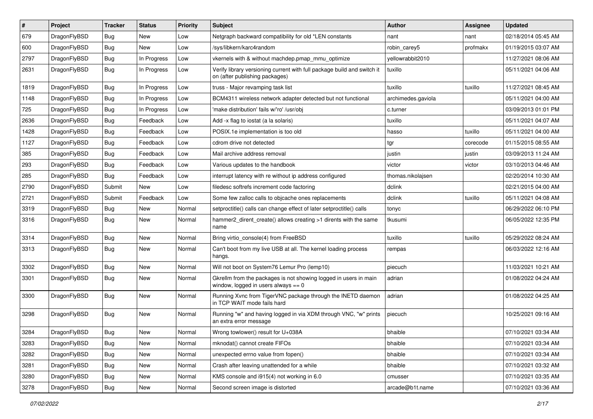| $\vert$ # | Project      | <b>Tracker</b> | <b>Status</b> | <b>Priority</b> | Subject                                                                                                   | Author             | Assignee | <b>Updated</b>      |
|-----------|--------------|----------------|---------------|-----------------|-----------------------------------------------------------------------------------------------------------|--------------------|----------|---------------------|
| 679       | DragonFlyBSD | Bug            | New           | Low             | Netgraph backward compatibility for old *LEN constants                                                    | nant               | nant     | 02/18/2014 05:45 AM |
| 600       | DragonFlyBSD | <b>Bug</b>     | New           | Low             | /sys/libkern/karc4random                                                                                  | robin carey5       | profmakx | 01/19/2015 03:07 AM |
| 2797      | DragonFlyBSD | <b>Bug</b>     | In Progress   | Low             | vkernels with & without machdep.pmap mmu optimize                                                         | yellowrabbit2010   |          | 11/27/2021 08:06 AM |
| 2631      | DragonFlyBSD | Bug            | In Progress   | Low             | Verify library versioning current with full package build and switch it<br>on (after publishing packages) | tuxillo            |          | 05/11/2021 04:06 AM |
| 1819      | DragonFlyBSD | <b>Bug</b>     | In Progress   | Low             | truss - Major revamping task list                                                                         | tuxillo            | tuxillo  | 11/27/2021 08:45 AM |
| 1148      | DragonFlyBSD | Bug            | In Progress   | Low             | BCM4311 wireless network adapter detected but not functional                                              | archimedes.gaviola |          | 05/11/2021 04:00 AM |
| 725       | DragonFlyBSD | <b>Bug</b>     | In Progress   | Low             | 'make distribution' fails w/'ro' /usr/obj                                                                 | c.turner           |          | 03/09/2013 01:01 PM |
| 2636      | DragonFlyBSD | <b>Bug</b>     | Feedback      | Low             | Add -x flag to iostat (a la solaris)                                                                      | tuxillo            |          | 05/11/2021 04:07 AM |
| 1428      | DragonFlyBSD | <b>Bug</b>     | Feedback      | Low             | POSIX.1e implementation is too old                                                                        | hasso              | tuxillo  | 05/11/2021 04:00 AM |
| 1127      | DragonFlyBSD | <b>Bug</b>     | Feedback      | Low             | cdrom drive not detected                                                                                  | tgr                | corecode | 01/15/2015 08:55 AM |
| 385       | DragonFlyBSD | Bug            | Feedback      | Low             | Mail archive address removal                                                                              | justin             | justin   | 03/09/2013 11:24 AM |
| 293       | DragonFlyBSD | <b>Bug</b>     | Feedback      | Low             | Various updates to the handbook                                                                           | victor             | victor   | 03/10/2013 04:46 AM |
| 285       | DragonFlyBSD | Bug            | Feedback      | Low             | interrupt latency with re without ip address configured                                                   | thomas.nikolajsen  |          | 02/20/2014 10:30 AM |
| 2790      | DragonFlyBSD | Submit         | New           | Low             | filedesc softrefs increment code factoring                                                                | dclink             |          | 02/21/2015 04:00 AM |
| 2721      | DragonFlyBSD | Submit         | Feedback      | Low             | Some few zalloc calls to objcache ones replacements                                                       | dclink             | tuxillo  | 05/11/2021 04:08 AM |
| 3319      | DragonFlyBSD | Bug            | New           | Normal          | setproctitle() calls can change effect of later setproctitle() calls                                      | tonyc              |          | 06/29/2022 06:10 PM |
| 3316      | DragonFlyBSD | Bug            | New           | Normal          | hammer2 dirent create() allows creating >1 dirents with the same<br>name                                  | tkusumi            |          | 06/05/2022 12:35 PM |
| 3314      | DragonFlyBSD | Bug            | <b>New</b>    | Normal          | Bring virtio_console(4) from FreeBSD                                                                      | tuxillo            | tuxillo  | 05/29/2022 08:24 AM |
| 3313      | DragonFlyBSD | <b>Bug</b>     | New           | Normal          | Can't boot from my live USB at all. The kernel loading process<br>hangs.                                  | rempas             |          | 06/03/2022 12:16 AM |
| 3302      | DragonFlyBSD | <b>Bug</b>     | New           | Normal          | Will not boot on System76 Lemur Pro (lemp10)                                                              | piecuch            |          | 11/03/2021 10:21 AM |
| 3301      | DragonFlyBSD | <b>Bug</b>     | New           | Normal          | Gkrellm from the packages is not showing logged in users in main<br>window, logged in users always $== 0$ | adrian             |          | 01/08/2022 04:24 AM |
| 3300      | DragonFlyBSD | <b>Bug</b>     | New           | Normal          | Running Xvnc from TigerVNC package through the INETD daemon<br>in TCP WAIT mode fails hard                | adrian             |          | 01/08/2022 04:25 AM |
| 3298      | DragonFlyBSD | Bug            | New           | Normal          | Running "w" and having logged in via XDM through VNC, "w" prints<br>an extra error message                | piecuch            |          | 10/25/2021 09:16 AM |
| 3284      | DragonFlyBSD | <b>Bug</b>     | <b>New</b>    | Normal          | Wrong towlower() result for U+038A                                                                        | bhaible            |          | 07/10/2021 03:34 AM |
| 3283      | DragonFlyBSD | Bug            | New           | Normal          | mknodat() cannot create FIFOs                                                                             | bhaible            |          | 07/10/2021 03:34 AM |
| 3282      | DragonFlyBSD | Bug            | New           | Normal          | unexpected errno value from fopen()                                                                       | bhaible            |          | 07/10/2021 03:34 AM |
| 3281      | DragonFlyBSD | <b>Bug</b>     | New           | Normal          | Crash after leaving unattended for a while                                                                | bhaible            |          | 07/10/2021 03:32 AM |
| 3280      | DragonFlyBSD | Bug            | New           | Normal          | KMS console and i915(4) not working in 6.0                                                                | cmusser            |          | 07/10/2021 03:35 AM |
| 3278      | DragonFlyBSD | Bug            | New           | Normal          | Second screen image is distorted                                                                          | arcade@b1t.name    |          | 07/10/2021 03:36 AM |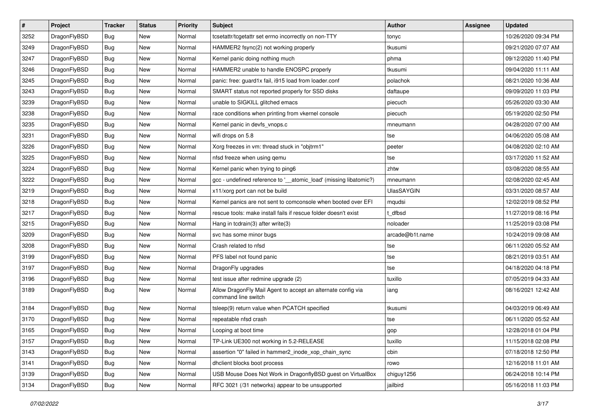| $\sharp$ | Project      | <b>Tracker</b> | <b>Status</b> | <b>Priority</b> | Subject                                                                             | <b>Author</b>     | Assignee | <b>Updated</b>      |
|----------|--------------|----------------|---------------|-----------------|-------------------------------------------------------------------------------------|-------------------|----------|---------------------|
| 3252     | DragonFlyBSD | <b>Bug</b>     | New           | Normal          | tcsetattr/tcgetattr set errno incorrectly on non-TTY                                | tonyc             |          | 10/26/2020 09:34 PM |
| 3249     | DragonFlyBSD | Bug            | New           | Normal          | HAMMER2 fsync(2) not working properly                                               | tkusumi           |          | 09/21/2020 07:07 AM |
| 3247     | DragonFlyBSD | <b>Bug</b>     | New           | Normal          | Kernel panic doing nothing much                                                     | phma              |          | 09/12/2020 11:40 PM |
| 3246     | DragonFlyBSD | <b>Bug</b>     | <b>New</b>    | Normal          | HAMMER2 unable to handle ENOSPC properly                                            | tkusumi           |          | 09/04/2020 11:11 AM |
| 3245     | DragonFlyBSD | Bug            | <b>New</b>    | Normal          | panic: free: guard1x fail, i915 load from loader.conf                               | polachok          |          | 08/21/2020 10:36 AM |
| 3243     | DragonFlyBSD | <b>Bug</b>     | <b>New</b>    | Normal          | SMART status not reported properly for SSD disks                                    | daftaupe          |          | 09/09/2020 11:03 PM |
| 3239     | DragonFlyBSD | Bug            | New           | Normal          | unable to SIGKILL glitched emacs                                                    | piecuch           |          | 05/26/2020 03:30 AM |
| 3238     | DragonFlyBSD | <b>Bug</b>     | <b>New</b>    | Normal          | race conditions when printing from vkernel console                                  | piecuch           |          | 05/19/2020 02:50 PM |
| 3235     | DragonFlyBSD | <b>Bug</b>     | <b>New</b>    | Normal          | Kernel panic in devfs_vnops.c                                                       | mneumann          |          | 04/28/2020 07:00 AM |
| 3231     | DragonFlyBSD | Bug            | New           | Normal          | wifi drops on 5.8                                                                   | tse               |          | 04/06/2020 05:08 AM |
| 3226     | DragonFlyBSD | Bug            | New           | Normal          | Xorg freezes in vm: thread stuck in "objtrm1"                                       | peeter            |          | 04/08/2020 02:10 AM |
| 3225     | DragonFlyBSD | Bug            | <b>New</b>    | Normal          | nfsd freeze when using qemu                                                         | tse               |          | 03/17/2020 11:52 AM |
| 3224     | DragonFlyBSD | <b>Bug</b>     | <b>New</b>    | Normal          | Kernel panic when trying to ping6                                                   | zhtw              |          | 03/08/2020 08:55 AM |
| 3222     | DragonFlyBSD | Bug            | New           | Normal          | gcc - undefined reference to '_atomic_load' (missing libatomic?)                    | mneumann          |          | 02/08/2020 02:45 AM |
| 3219     | DragonFlyBSD | <b>Bug</b>     | <b>New</b>    | Normal          | x11/xorg port can not be build                                                      | <b>UlasSAYGIN</b> |          | 03/31/2020 08:57 AM |
| 3218     | DragonFlyBSD | <b>Bug</b>     | New           | Normal          | Kernel panics are not sent to comconsole when booted over EFI                       | mqudsi            |          | 12/02/2019 08:52 PM |
| 3217     | DragonFlyBSD | Bug            | <b>New</b>    | Normal          | rescue tools: make install fails if rescue folder doesn't exist                     | t dfbsd           |          | 11/27/2019 08:16 PM |
| 3215     | DragonFlyBSD | <b>Bug</b>     | New           | Normal          | Hang in tcdrain(3) after write(3)                                                   | noloader          |          | 11/25/2019 03:08 PM |
| 3209     | DragonFlyBSD | Bug            | <b>New</b>    | Normal          | svc has some minor bugs                                                             | arcade@b1t.name   |          | 10/24/2019 09:08 AM |
| 3208     | DragonFlyBSD | Bug            | New           | Normal          | Crash related to nfsd                                                               | tse               |          | 06/11/2020 05:52 AM |
| 3199     | DragonFlyBSD | <b>Bug</b>     | <b>New</b>    | Normal          | PFS label not found panic                                                           | tse               |          | 08/21/2019 03:51 AM |
| 3197     | DragonFlyBSD | <b>Bug</b>     | New           | Normal          | DragonFly upgrades                                                                  | tse               |          | 04/18/2020 04:18 PM |
| 3196     | DragonFlyBSD | Bug            | New           | Normal          | test issue after redmine upgrade (2)                                                | tuxillo           |          | 07/05/2019 04:33 AM |
| 3189     | DragonFlyBSD | Bug            | New           | Normal          | Allow DragonFly Mail Agent to accept an alternate config via<br>command line switch | iang              |          | 08/16/2021 12:42 AM |
| 3184     | DragonFlyBSD | <b>Bug</b>     | <b>New</b>    | Normal          | tsleep(9) return value when PCATCH specified                                        | tkusumi           |          | 04/03/2019 06:49 AM |
| 3170     | DragonFlyBSD | Bug            | <b>New</b>    | Normal          | repeatable nfsd crash                                                               | tse               |          | 06/11/2020 05:52 AM |
| 3165     | DragonFlyBSD | <b>Bug</b>     | <b>New</b>    | Normal          | Looping at boot time                                                                | gop               |          | 12/28/2018 01:04 PM |
| 3157     | DragonFlyBSD | <b>Bug</b>     | New           | Normal          | TP-Link UE300 not working in 5.2-RELEASE                                            | tuxillo           |          | 11/15/2018 02:08 PM |
| 3143     | DragonFlyBSD | <b>Bug</b>     | New           | Normal          | assertion "0" failed in hammer2 inode xop chain sync                                | cbin              |          | 07/18/2018 12:50 PM |
| 3141     | DragonFlyBSD | <b>Bug</b>     | <b>New</b>    | Normal          | dhclient blocks boot process                                                        | rowo              |          | 12/16/2018 11:01 AM |
| 3139     | DragonFlyBSD | <b>Bug</b>     | New           | Normal          | USB Mouse Does Not Work in DragonflyBSD guest on VirtualBox                         | chiguy1256        |          | 06/24/2018 10:14 PM |
| 3134     | DragonFlyBSD | Bug            | New           | Normal          | RFC 3021 (/31 networks) appear to be unsupported                                    | jailbird          |          | 05/16/2018 11:03 PM |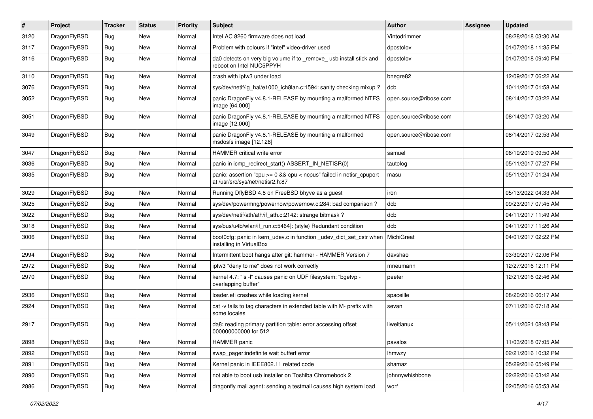| $\vert$ # | Project      | <b>Tracker</b> | <b>Status</b> | <b>Priority</b> | <b>Subject</b>                                                                                          | Author                 | Assignee | <b>Updated</b>      |
|-----------|--------------|----------------|---------------|-----------------|---------------------------------------------------------------------------------------------------------|------------------------|----------|---------------------|
| 3120      | DragonFlyBSD | <b>Bug</b>     | <b>New</b>    | Normal          | Intel AC 8260 firmware does not load                                                                    | Vintodrimmer           |          | 08/28/2018 03:30 AM |
| 3117      | DragonFlyBSD | <b>Bug</b>     | <b>New</b>    | Normal          | Problem with colours if "intel" video-driver used                                                       | dpostolov              |          | 01/07/2018 11:35 PM |
| 3116      | DragonFlyBSD | Bug            | New           | Normal          | da0 detects on very big volume if to _remove_ usb install stick and<br>reboot on Intel NUC5PPYH         | dpostolov              |          | 01/07/2018 09:40 PM |
| 3110      | DragonFlyBSD | Bug            | <b>New</b>    | Normal          | crash with ipfw3 under load                                                                             | bnegre82               |          | 12/09/2017 06:22 AM |
| 3076      | DragonFlyBSD | <b>Bug</b>     | New           | Normal          | sys/dev/netif/ig hal/e1000 ich8lan.c:1594: sanity checking mixup?                                       | dcb                    |          | 10/11/2017 01:58 AM |
| 3052      | DragonFlyBSD | Bug            | <b>New</b>    | Normal          | panic DragonFly v4.8.1-RELEASE by mounting a malformed NTFS<br>image [64.000]                           | open.source@ribose.com |          | 08/14/2017 03:22 AM |
| 3051      | DragonFlyBSD | Bug            | <b>New</b>    | Normal          | panic DragonFly v4.8.1-RELEASE by mounting a malformed NTFS<br>image [12.000]                           | open.source@ribose.com |          | 08/14/2017 03:20 AM |
| 3049      | DragonFlyBSD | <b>Bug</b>     | New           | Normal          | panic DragonFly v4.8.1-RELEASE by mounting a malformed<br>msdosfs image [12.128]                        | open.source@ribose.com |          | 08/14/2017 02:53 AM |
| 3047      | DragonFlyBSD | <b>Bug</b>     | <b>New</b>    | Normal          | HAMMER critical write error                                                                             | samuel                 |          | 06/19/2019 09:50 AM |
| 3036      | DragonFlyBSD | <b>Bug</b>     | <b>New</b>    | Normal          | panic in icmp redirect start() ASSERT IN NETISR(0)                                                      | tautolog               |          | 05/11/2017 07:27 PM |
| 3035      | DragonFlyBSD | Bug            | New           | Normal          | panic: assertion "cpu >= 0 && cpu < ncpus" failed in netisr_cpuport<br>at /usr/src/sys/net/netisr2.h:87 | masu                   |          | 05/11/2017 01:24 AM |
| 3029      | DragonFlyBSD | Bug            | New           | Normal          | Running DflyBSD 4.8 on FreeBSD bhyve as a guest                                                         | iron                   |          | 05/13/2022 04:33 AM |
| 3025      | DragonFlyBSD | Bug            | <b>New</b>    | Normal          | sys/dev/powermng/powernow/powernow.c:284: bad comparison?                                               | dcb                    |          | 09/23/2017 07:45 AM |
| 3022      | DragonFlyBSD | <b>Bug</b>     | New           | Normal          | sys/dev/netif/ath/ath/if_ath.c:2142: strange bitmask?                                                   | dcb                    |          | 04/11/2017 11:49 AM |
| 3018      | DragonFlyBSD | Bug            | New           | Normal          | sys/bus/u4b/wlan/if_run.c:5464]: (style) Redundant condition                                            | dcb                    |          | 04/11/2017 11:26 AM |
| 3006      | DragonFlyBSD | Bug            | New           | Normal          | boot0cfg: panic in kern_udev.c in function _udev_dict_set_cstr when<br>installing in VirtualBox         | MichiGreat             |          | 04/01/2017 02:22 PM |
| 2994      | DragonFlyBSD | Bug            | <b>New</b>    | Normal          | Intermittent boot hangs after git: hammer - HAMMER Version 7                                            | davshao                |          | 03/30/2017 02:06 PM |
| 2972      | DragonFlyBSD | Bug            | New           | Normal          | ipfw3 "deny to me" does not work correctly                                                              | mneumann               |          | 12/27/2016 12:11 PM |
| 2970      | DragonFlyBSD | Bug            | New           | Normal          | kernel 4.7: "Is -I" causes panic on UDF filesystem: "bgetvp -<br>overlapping buffer"                    | peeter                 |          | 12/21/2016 02:46 AM |
| 2936      | DragonFlyBSD | Bug            | <b>New</b>    | Normal          | loader.efi crashes while loading kernel                                                                 | spaceille              |          | 08/20/2016 06:17 AM |
| 2924      | DragonFlyBSD | Bug            | New           | Normal          | cat -v fails to tag characters in extended table with M- prefix with<br>some locales                    | sevan                  |          | 07/11/2016 07:18 AM |
| 2917      | DragonFlyBSD | Bug            | <b>New</b>    | Normal          | da8: reading primary partition table: error accessing offset<br>000000000000 for 512                    | liweitianux            |          | 05/11/2021 08:43 PM |
| 2898      | DragonFlyBSD | Bug            | New           | Normal          | HAMMER panic                                                                                            | pavalos                |          | 11/03/2018 07:05 AM |
| 2892      | DragonFlyBSD | Bug            | New           | Normal          | swap pager:indefinite wait bufferf error                                                                | <b>Ihmwzy</b>          |          | 02/21/2016 10:32 PM |
| 2891      | DragonFlyBSD | <b>Bug</b>     | New           | Normal          | Kernel panic in IEEE802.11 related code                                                                 | shamaz                 |          | 05/29/2016 05:49 PM |
| 2890      | DragonFlyBSD | <b>Bug</b>     | New           | Normal          | not able to boot usb installer on Toshiba Chromebook 2                                                  | johnnywhishbone        |          | 02/22/2016 03:42 AM |
| 2886      | DragonFlyBSD | <b>Bug</b>     | New           | Normal          | dragonfly mail agent: sending a testmail causes high system load                                        | worf                   |          | 02/05/2016 05:53 AM |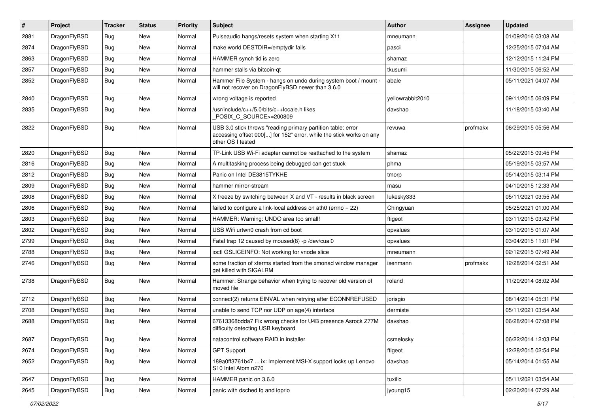| #    | Project      | <b>Tracker</b> | <b>Status</b> | <b>Priority</b> | Subject                                                                                                                                                  | <b>Author</b>    | Assignee | <b>Updated</b>      |
|------|--------------|----------------|---------------|-----------------|----------------------------------------------------------------------------------------------------------------------------------------------------------|------------------|----------|---------------------|
| 2881 | DragonFlyBSD | Bug            | New           | Normal          | Pulseaudio hangs/resets system when starting X11                                                                                                         | mneumann         |          | 01/09/2016 03:08 AM |
| 2874 | DragonFlyBSD | Bug            | New           | Normal          | make world DESTDIR=/emptydir fails                                                                                                                       | pascii           |          | 12/25/2015 07:04 AM |
| 2863 | DragonFlyBSD | Bug            | New           | Normal          | HAMMER synch tid is zero                                                                                                                                 | shamaz           |          | 12/12/2015 11:24 PM |
| 2857 | DragonFlyBSD | Bug            | New           | Normal          | hammer stalls via bitcoin-gt                                                                                                                             | tkusumi          |          | 11/30/2015 06:52 AM |
| 2852 | DragonFlyBSD | Bug            | New           | Normal          | Hammer File System - hangs on undo during system boot / mount -<br>will not recover on DragonFlyBSD newer than 3.6.0                                     | abale            |          | 05/11/2021 04:07 AM |
| 2840 | DragonFlyBSD | Bug            | New           | Normal          | wrong voltage is reported                                                                                                                                | yellowrabbit2010 |          | 09/11/2015 06:09 PM |
| 2835 | DragonFlyBSD | Bug            | New           | Normal          | /usr/include/c++/5.0/bits/c++locale.h likes<br>POSIX_C_SOURCE>=200809                                                                                    | davshao          |          | 11/18/2015 03:40 AM |
| 2822 | DragonFlyBSD | <b>Bug</b>     | New           | Normal          | USB 3.0 stick throws "reading primary partition table: error<br>accessing offset 000[] for 152" error, while the stick works on any<br>other OS I tested | revuwa           | profmakx | 06/29/2015 05:56 AM |
| 2820 | DragonFlyBSD | Bug            | New           | Normal          | TP-Link USB Wi-Fi adapter cannot be reattached to the system                                                                                             | shamaz           |          | 05/22/2015 09:45 PM |
| 2816 | DragonFlyBSD | Bug            | New           | Normal          | A multitasking process being debugged can get stuck                                                                                                      | phma             |          | 05/19/2015 03:57 AM |
| 2812 | DragonFlyBSD | Bug            | <b>New</b>    | Normal          | Panic on Intel DE3815TYKHE                                                                                                                               | tmorp            |          | 05/14/2015 03:14 PM |
| 2809 | DragonFlyBSD | Bug            | New           | Normal          | hammer mirror-stream                                                                                                                                     | masu             |          | 04/10/2015 12:33 AM |
| 2808 | DragonFlyBSD | Bug            | <b>New</b>    | Normal          | X freeze by switching between X and VT - results in black screen                                                                                         | lukesky333       |          | 05/11/2021 03:55 AM |
| 2806 | DragonFlyBSD | Bug            | New           | Normal          | failed to configure a link-local address on ath0 (errno = 22)                                                                                            | Chingyuan        |          | 05/25/2021 01:00 AM |
| 2803 | DragonFlyBSD | Bug            | New           | Normal          | HAMMER: Warning: UNDO area too small!                                                                                                                    | ftigeot          |          | 03/11/2015 03:42 PM |
| 2802 | DragonFlyBSD | Bug            | New           | Normal          | USB Wifi urtwn0 crash from cd boot                                                                                                                       | opvalues         |          | 03/10/2015 01:07 AM |
| 2799 | DragonFlyBSD | Bug            | <b>New</b>    | Normal          | Fatal trap 12 caused by moused(8) -p /dev/cual0                                                                                                          | opvalues         |          | 03/04/2015 11:01 PM |
| 2788 | DragonFlyBSD | Bug            | New           | Normal          | ioctl GSLICEINFO: Not working for vnode slice                                                                                                            | mneumann         |          | 02/12/2015 07:49 AM |
| 2746 | DragonFlyBSD | <b>Bug</b>     | New           | Normal          | some fraction of xterms started from the xmonad window manager<br>get killed with SIGALRM                                                                | isenmann         | profmakx | 12/28/2014 02:51 AM |
| 2738 | DragonFlyBSD | <b>Bug</b>     | New           | Normal          | Hammer: Strange behavior when trying to recover old version of<br>moved file                                                                             | roland           |          | 11/20/2014 08:02 AM |
| 2712 | DragonFlyBSD | <b>Bug</b>     | <b>New</b>    | Normal          | connect(2) returns EINVAL when retrying after ECONNREFUSED                                                                                               | jorisgio         |          | 08/14/2014 05:31 PM |
| 2708 | DragonFlyBSD | <b>Bug</b>     | New           | Normal          | unable to send TCP nor UDP on age(4) interface                                                                                                           | dermiste         |          | 05/11/2021 03:54 AM |
| 2688 | DragonFlyBSD | Bug            | New           | Normal          | 67613368bdda7 Fix wrong checks for U4B presence Asrock Z77M<br>difficulty detecting USB keyboard                                                         | davshao          |          | 06/28/2014 07:08 PM |
| 2687 | DragonFlyBSD | <b>Bug</b>     | New           | Normal          | natacontrol software RAID in installer                                                                                                                   | csmelosky        |          | 06/22/2014 12:03 PM |
| 2674 | DragonFlyBSD | <b>Bug</b>     | <b>New</b>    | Normal          | <b>GPT Support</b>                                                                                                                                       | ftigeot          |          | 12/28/2015 02:54 PM |
| 2652 | DragonFlyBSD | Bug            | New           | Normal          | 189a0ff3761b47  ix: Implement MSI-X support locks up Lenovo<br>S <sub>10</sub> Intel Atom n <sub>270</sub>                                               | davshao          |          | 05/14/2014 01:55 AM |
| 2647 | DragonFlyBSD | Bug            | New           | Normal          | HAMMER panic on 3.6.0                                                                                                                                    | tuxillo          |          | 05/11/2021 03:54 AM |
| 2645 | DragonFlyBSD | <b>Bug</b>     | New           | Normal          | panic with dsched fq and ioprio                                                                                                                          | jyoung15         |          | 02/20/2014 07:29 AM |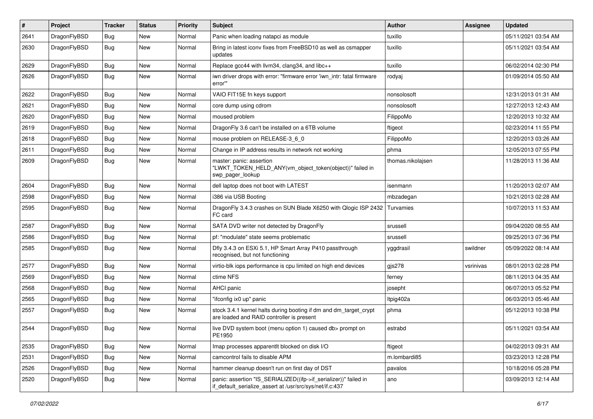| $\pmb{\#}$ | Project      | <b>Tracker</b> | <b>Status</b> | <b>Priority</b> | Subject                                                                                                                      | <b>Author</b>     | <b>Assignee</b> | <b>Updated</b>      |
|------------|--------------|----------------|---------------|-----------------|------------------------------------------------------------------------------------------------------------------------------|-------------------|-----------------|---------------------|
| 2641       | DragonFlyBSD | Bug            | <b>New</b>    | Normal          | Panic when loading natapci as module                                                                                         | tuxillo           |                 | 05/11/2021 03:54 AM |
| 2630       | DragonFlyBSD | Bug            | New           | Normal          | Bring in latest iconv fixes from FreeBSD10 as well as csmapper<br>updates                                                    | tuxillo           |                 | 05/11/2021 03:54 AM |
| 2629       | DragonFlyBSD | Bug            | <b>New</b>    | Normal          | Replace gcc44 with llvm34, clang34, and libc++                                                                               | tuxillo           |                 | 06/02/2014 02:30 PM |
| 2626       | DragonFlyBSD | Bug            | New           | Normal          | iwn driver drops with error: "firmware error 'iwn_intr: fatal firmware<br>error"                                             | rodyaj            |                 | 01/09/2014 05:50 AM |
| 2622       | DragonFlyBSD | Bug            | <b>New</b>    | Normal          | VAIO FIT15E fn keys support                                                                                                  | nonsolosoft       |                 | 12/31/2013 01:31 AM |
| 2621       | DragonFlyBSD | Bug            | <b>New</b>    | Normal          | core dump using cdrom                                                                                                        | nonsolosoft       |                 | 12/27/2013 12:43 AM |
| 2620       | DragonFlyBSD | Bug            | <b>New</b>    | Normal          | moused problem                                                                                                               | FilippoMo         |                 | 12/20/2013 10:32 AM |
| 2619       | DragonFlyBSD | Bug            | <b>New</b>    | Normal          | DragonFly 3.6 can't be installed on a 6TB volume                                                                             | ftigeot           |                 | 02/23/2014 11:55 PM |
| 2618       | DragonFlyBSD | Bug            | <b>New</b>    | Normal          | mouse problem on RELEASE-3 6 0                                                                                               | FilippoMo         |                 | 12/20/2013 03:26 AM |
| 2611       | DragonFlyBSD | Bug            | <b>New</b>    | Normal          | Change in IP address results in network not working                                                                          | phma              |                 | 12/05/2013 07:55 PM |
| 2609       | DragonFlyBSD | Bug            | New           | Normal          | master: panic: assertion<br>"LWKT_TOKEN_HELD_ANY(vm_object_token(object))" failed in<br>swp_pager_lookup                     | thomas.nikolajsen |                 | 11/28/2013 11:36 AM |
| 2604       | DragonFlyBSD | <b>Bug</b>     | <b>New</b>    | Normal          | dell laptop does not boot with LATEST                                                                                        | isenmann          |                 | 11/20/2013 02:07 AM |
| 2598       | DragonFlyBSD | Bug            | <b>New</b>    | Normal          | i386 via USB Booting                                                                                                         | mbzadegan         |                 | 10/21/2013 02:28 AM |
| 2595       | DragonFlyBSD | Bug            | <b>New</b>    | Normal          | DragonFly 3.4.3 crashes on SUN Blade X6250 with Qlogic ISP 2432<br>FC card                                                   | Turvamies         |                 | 10/07/2013 11:53 AM |
| 2587       | DragonFlyBSD | Bug            | <b>New</b>    | Normal          | SATA DVD writer not detected by DragonFly                                                                                    | srussell          |                 | 09/04/2020 08:55 AM |
| 2586       | DragonFlyBSD | <b>Bug</b>     | <b>New</b>    | Normal          | pf: "modulate" state seems problematic                                                                                       | srussell          |                 | 09/25/2013 07:36 PM |
| 2585       | DragonFlyBSD | Bug            | New           | Normal          | Dfly 3.4.3 on ESXi 5.1, HP Smart Array P410 passthrough<br>recognised, but not functioning                                   | yggdrasil         | swildner        | 05/09/2022 08:14 AM |
| 2577       | DragonFlyBSD | Bug            | <b>New</b>    | Normal          | virtio-blk iops performance is cpu limited on high end devices                                                               | $g$ js278         | vsrinivas       | 08/01/2013 02:28 PM |
| 2569       | DragonFlyBSD | Bug            | <b>New</b>    | Normal          | ctime NFS                                                                                                                    | ferney            |                 | 08/11/2013 04:35 AM |
| 2568       | DragonFlyBSD | Bug            | <b>New</b>    | Normal          | AHCI panic                                                                                                                   | josepht           |                 | 06/07/2013 05:52 PM |
| 2565       | DragonFlyBSD | <b>Bug</b>     | <b>New</b>    | Normal          | "ifconfig ix0 up" panic                                                                                                      | Itpig402a         |                 | 06/03/2013 05:46 AM |
| 2557       | DragonFlyBSD | Bug            | <b>New</b>    | Normal          | stock 3.4.1 kernel halts during booting if dm and dm_target_crypt<br>are loaded and RAID controller is present               | phma              |                 | 05/12/2013 10:38 PM |
| 2544       | DragonFlyBSD | Bug            | <b>New</b>    | Normal          | live DVD system boot (menu option 1) caused db> prompt on<br>PE1950                                                          | estrabd           |                 | 05/11/2021 03:54 AM |
| 2535       | DragonFlyBSD | Bug            | New           | Normal          | Imap processes apparentlt blocked on disk I/O                                                                                | ftigeot           |                 | 04/02/2013 09:31 AM |
| 2531       | DragonFlyBSD | <b>Bug</b>     | New           | Normal          | camcontrol fails to disable APM                                                                                              | m.lombardi85      |                 | 03/23/2013 12:28 PM |
| 2526       | DragonFlyBSD | <b>Bug</b>     | New           | Normal          | hammer cleanup doesn't run on first day of DST                                                                               | pavalos           |                 | 10/18/2016 05:28 PM |
| 2520       | DragonFlyBSD | <b>Bug</b>     | New           | Normal          | panic: assertion "IS_SERIALIZED((ifp->if_serializer))" failed in<br>if default serialize assert at /usr/src/sys/net/if.c:437 | ano               |                 | 03/09/2013 12:14 AM |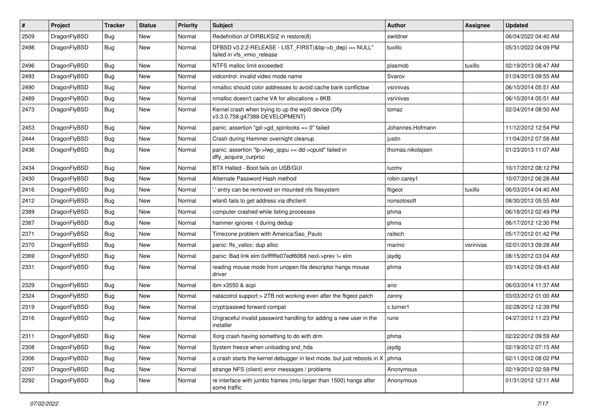| $\sharp$ | Project      | <b>Tracker</b> | <b>Status</b> | <b>Priority</b> | Subject                                                                                | <b>Author</b>     | Assignee  | <b>Updated</b>      |
|----------|--------------|----------------|---------------|-----------------|----------------------------------------------------------------------------------------|-------------------|-----------|---------------------|
| 2509     | DragonFlyBSD | <b>Bug</b>     | New           | Normal          | Redefinition of DIRBLKSIZ in restore(8)                                                | swildner          |           | 06/04/2022 04:40 AM |
| 2498     | DragonFlyBSD | <b>Bug</b>     | New           | Normal          | DFBSD v3.2.2-RELEASE - LIST_FIRST(&bp->b_dep) == NULL"<br>failed in vfs vmio release   | tuxillo           |           | 05/31/2022 04:09 PM |
| 2496     | DragonFlyBSD | <b>Bug</b>     | New           | Normal          | NTFS malloc limit exceeded                                                             | plasmob           | tuxillo   | 02/19/2013 08:47 AM |
| 2493     | DragonFlyBSD | Bug            | <b>New</b>    | Normal          | vidcontrol: invalid video mode name                                                    | Svarov            |           | 01/24/2013 09:55 AM |
| 2490     | DragonFlyBSD | <b>Bug</b>     | New           | Normal          | nmalloc should color addresses to avoid cache bank conflictsw                          | vsrinivas         |           | 06/10/2014 05:51 AM |
| 2489     | DragonFlyBSD | <b>Bug</b>     | New           | Normal          | nmalloc doesn't cache VA for allocations > 8KB                                         | vsrinivas         |           | 06/10/2014 05:51 AM |
| 2473     | DragonFlyBSD | <b>Bug</b>     | <b>New</b>    | Normal          | Kernel crash when trying to up the wpi0 device (Dfly<br>v3.3.0.758.g47388-DEVELOPMENT) | tomaz             |           | 02/24/2014 08:50 AM |
| 2453     | DragonFlyBSD | <b>Bug</b>     | New           | Normal          | panic: assertion "gd->gd_spinlocks == 0" failed                                        | Johannes.Hofmann  |           | 11/12/2012 12:54 PM |
| 2444     | DragonFlyBSD | <b>Bug</b>     | <b>New</b>    | Normal          | Crash during Hammer overnight cleanup                                                  | justin            |           | 11/04/2012 07:58 AM |
| 2436     | DragonFlyBSD | <b>Bug</b>     | <b>New</b>    | Normal          | panic: assertion "lp->lwp_qcpu == dd->cpuid" failed in<br>dfly_acquire_curproc         | thomas.nikolajsen |           | 01/23/2013 11:07 AM |
| 2434     | DragonFlyBSD | <b>Bug</b>     | New           | Normal          | BTX Halted - Boot fails on USB/GUI                                                     | lucmv             |           | 10/17/2012 08:12 PM |
| 2430     | DragonFlyBSD | <b>Bug</b>     | <b>New</b>    | Normal          | Alternate Password Hash method                                                         | robin.carey1      |           | 10/07/2012 06:28 AM |
| 2416     | DragonFlyBSD | <b>Bug</b>     | New           | Normal          | ".' entry can be removed on mounted nfs filesystem                                     | ftigeot           | tuxillo   | 06/03/2014 04:40 AM |
| 2412     | DragonFlyBSD | <b>Bug</b>     | New           | Normal          | wlan0 fails to get address via dhclient                                                | nonsolosoft       |           | 08/30/2012 05:55 AM |
| 2389     | DragonFlyBSD | <b>Bug</b>     | <b>New</b>    | Normal          | computer crashed while listing processes                                               | phma              |           | 06/18/2012 02:49 PM |
| 2387     | DragonFlyBSD | <b>Bug</b>     | New           | Normal          | hammer ignores -t during dedup                                                         | phma              |           | 06/17/2012 12:30 PM |
| 2371     | DragonFlyBSD | <b>Bug</b>     | New           | Normal          | Timezone problem with America/Sao Paulo                                                | raitech           |           | 05/17/2012 01:42 PM |
| 2370     | DragonFlyBSD | <b>Bug</b>     | New           | Normal          | panic: ffs_valloc: dup alloc                                                           | marino            | vsrinivas | 02/01/2013 09:28 AM |
| 2369     | DragonFlyBSD | <b>Bug</b>     | New           | Normal          | panic: Bad link elm 0xffffffe07edf6068 next->prev != elm                               | jaydg             |           | 08/15/2012 03:04 AM |
| 2331     | DragonFlyBSD | Bug            | New           | Normal          | reading mouse mode from unopen file descriptor hangs mouse<br>driver                   | phma              |           | 03/14/2012 09:43 AM |
| 2329     | DragonFlyBSD | Bug            | New           | Normal          | ibm x3550 & acpi                                                                       | ano               |           | 06/03/2014 11:37 AM |
| 2324     | DragonFlyBSD | Bug            | <b>New</b>    | Normal          | natacotrol support > 2TB not working even after the ftigeot patch                      | zenny             |           | 03/03/2012 01:00 AM |
| 2319     | DragonFlyBSD | <b>Bug</b>     | New           | Normal          | crypt/passwd forward compat                                                            | c.turner1         |           | 02/28/2012 12:39 PM |
| 2316     | DragonFlyBSD | <b>Bug</b>     | <b>New</b>    | Normal          | Ungraceful invalid password handling for adding a new user in the<br>installer         | rune              |           | 04/27/2012 11:23 PM |
| 2311     | DragonFlyBSD | <b>Bug</b>     | <b>New</b>    | Normal          | Xorg crash having something to do with drm                                             | phma              |           | 02/22/2012 09:59 AM |
| 2308     | DragonFlyBSD | <b>Bug</b>     | New           | Normal          | System freeze when unloading snd_hda                                                   | jaydg             |           | 02/19/2012 07:15 AM |
| 2306     | DragonFlyBSD | <b>Bug</b>     | New           | Normal          | a crash starts the kernel debugger in text mode, but just reboots in $X \mid p$ hma    |                   |           | 02/11/2012 08:02 PM |
| 2297     | DragonFlyBSD | <b>Bug</b>     | New           | Normal          | strange NFS (client) error messages / problems                                         | Anonymous         |           | 02/19/2012 02:59 PM |
| 2292     | DragonFlyBSD | <b>Bug</b>     | New           | Normal          | re interface with jumbo frames (mtu larger than 1500) hangs after<br>some traffic      | Anonymous         |           | 01/31/2012 12:11 AM |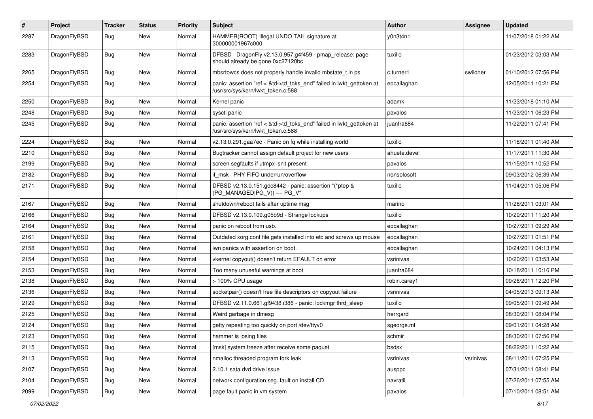| $\pmb{\#}$ | Project      | <b>Tracker</b> | <b>Status</b> | <b>Priority</b> | Subject                                                                                                    | <b>Author</b> | Assignee  | <b>Updated</b>      |
|------------|--------------|----------------|---------------|-----------------|------------------------------------------------------------------------------------------------------------|---------------|-----------|---------------------|
| 2287       | DragonFlyBSD | Bug            | New           | Normal          | HAMMER(ROOT) Illegal UNDO TAIL signature at<br>300000001967c000                                            | y0n3t4n1      |           | 11/07/2018 01:22 AM |
| 2283       | DragonFlyBSD | Bug            | <b>New</b>    | Normal          | DFBSD DragonFly v2.13.0.957.g4f459 - pmap_release: page<br>should already be gone 0xc27120bc               | tuxillo       |           | 01/23/2012 03:03 AM |
| 2265       | DragonFlyBSD | Bug            | New           | Normal          | mbsrtowcs does not properly handle invalid mbstate_t in ps                                                 | c.turner1     | swildner  | 01/10/2012 07:56 PM |
| 2254       | DragonFlyBSD | Bug            | New           | Normal          | panic: assertion "ref < &td->td_toks_end" failed in lwkt_gettoken at<br>/usr/src/sys/kern/lwkt_token.c:588 | eocallaghan   |           | 12/05/2011 10:21 PM |
| 2250       | DragonFlyBSD | Bug            | <b>New</b>    | Normal          | Kernel panic                                                                                               | adamk         |           | 11/23/2018 01:10 AM |
| 2248       | DragonFlyBSD | Bug            | New           | Normal          | sysctl panic                                                                                               | pavalos       |           | 11/23/2011 06:23 PM |
| 2245       | DragonFlyBSD | Bug            | New           | Normal          | panic: assertion "ref < &td->td_toks_end" failed in lwkt_gettoken at<br>/usr/src/sys/kern/lwkt_token.c:588 | juanfra684    |           | 11/22/2011 07:41 PM |
| 2224       | DragonFlyBSD | Bug            | <b>New</b>    | Normal          | v2.13.0.291.gaa7ec - Panic on fq while installing world                                                    | tuxillo       |           | 11/18/2011 01:40 AM |
| 2210       | DragonFlyBSD | Bug            | <b>New</b>    | Normal          | Bugtracker cannot assign default project for new users                                                     | ahuete.devel  |           | 11/17/2011 11:30 AM |
| 2199       | DragonFlyBSD | Bug            | New           | Normal          | screen segfaults if utmpx isn't present                                                                    | pavalos       |           | 11/15/2011 10:52 PM |
| 2182       | DragonFlyBSD | Bug            | New           | Normal          | if msk PHY FIFO underrun/overflow                                                                          | nonsolosoft   |           | 09/03/2012 06:39 AM |
| 2171       | DragonFlyBSD | Bug            | New           | Normal          | DFBSD v2.13.0.151.gdc8442 - panic: assertion "(*ptep &<br>$(PG_MANAGED PG_V)) == PG_V"$                    | tuxillo       |           | 11/04/2011 05:06 PM |
| 2167       | DragonFlyBSD | Bug            | <b>New</b>    | Normal          | shutdown/reboot fails after uptime msg                                                                     | marino        |           | 11/28/2011 03:01 AM |
| 2166       | DragonFlyBSD | Bug            | New           | Normal          | DFBSD v2.13.0.109.g05b9d - Strange lockups                                                                 | tuxillo       |           | 10/29/2011 11:20 AM |
| 2164       | DragonFlyBSD | Bug            | New           | Normal          | panic on reboot from usb.                                                                                  | eocallaghan   |           | 10/27/2011 09:29 AM |
| 2161       | DragonFlyBSD | Bug            | <b>New</b>    | Normal          | Outdated xorg.conf file gets installed into etc and screws up mouse                                        | eocallaghan   |           | 10/27/2011 01:51 PM |
| 2158       | DragonFlyBSD | Bug            | <b>New</b>    | Normal          | iwn panics with assertion on boot.                                                                         | eocallaghan   |           | 10/24/2011 04:13 PM |
| 2154       | DragonFlyBSD | Bug            | <b>New</b>    | Normal          | vkernel copyout() doesn't return EFAULT on error                                                           | vsrinivas     |           | 10/20/2011 03:53 AM |
| 2153       | DragonFlyBSD | Bug            | <b>New</b>    | Normal          | Too many unuseful warnings at boot                                                                         | juanfra684    |           | 10/18/2011 10:16 PM |
| 2138       | DragonFlyBSD | Bug            | New           | Normal          | > 100% CPU usage                                                                                           | robin.carey1  |           | 09/26/2011 12:20 PM |
| 2136       | DragonFlyBSD | Bug            | <b>New</b>    | Normal          | socketpair() doesn't free file descriptors on copyout failure                                              | vsrinivas     |           | 04/05/2013 09:13 AM |
| 2129       | DragonFlyBSD | Bug            | <b>New</b>    | Normal          | DFBSD v2.11.0.661.gf9438 i386 - panic: lockmgr thrd sleep                                                  | tuxillo       |           | 09/05/2011 09:49 AM |
| 2125       | DragonFlyBSD | Bug            | New           | Normal          | Weird garbage in dmesg                                                                                     | herrgard      |           | 08/30/2011 08:04 PM |
| 2124       | DragonFlyBSD | Bug            | New           | Normal          | getty repeating too quickly on port /dev/ttyv0                                                             | sgeorge.ml    |           | 09/01/2011 04:28 AM |
| 2123       | DragonFlyBSD | Bug            | New           | Normal          | hammer is losing files                                                                                     | schmir        |           | 08/30/2011 07:56 PM |
| 2115       | DragonFlyBSD | Bug            | New           | Normal          | [msk] system freeze after receive some paquet                                                              | bsdsx         |           | 08/22/2011 10:22 AM |
| 2113       | DragonFlyBSD | <b>Bug</b>     | New           | Normal          | nmalloc threaded program fork leak                                                                         | vsrinivas     | vsrinivas | 08/11/2011 07:25 PM |
| 2107       | DragonFlyBSD | Bug            | New           | Normal          | 2.10.1 sata dvd drive issue                                                                                | ausppc        |           | 07/31/2011 08:41 PM |
| 2104       | DragonFlyBSD | <b>Bug</b>     | New           | Normal          | network configuration seg. fault on install CD                                                             | navratil      |           | 07/26/2011 07:55 AM |
| 2099       | DragonFlyBSD | <b>Bug</b>     | New           | Normal          | page fault panic in vm system                                                                              | pavalos       |           | 07/10/2011 08:51 AM |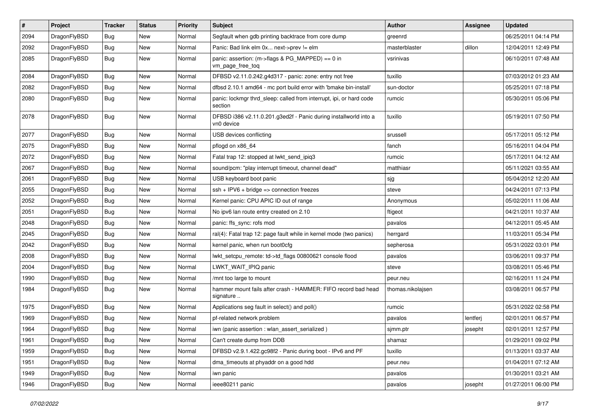| $\sharp$ | Project      | <b>Tracker</b> | <b>Status</b> | <b>Priority</b> | Subject                                                                        | <b>Author</b>     | Assignee | <b>Updated</b>      |
|----------|--------------|----------------|---------------|-----------------|--------------------------------------------------------------------------------|-------------------|----------|---------------------|
| 2094     | DragonFlyBSD | <b>Bug</b>     | New           | Normal          | Segfault when gdb printing backtrace from core dump                            | greenrd           |          | 06/25/2011 04:14 PM |
| 2092     | DragonFlyBSD | Bug            | New           | Normal          | Panic: Bad link elm 0x next->prev != elm                                       | masterblaster     | dillon   | 12/04/2011 12:49 PM |
| 2085     | DragonFlyBSD | <b>Bug</b>     | <b>New</b>    | Normal          | panic: assertion: (m->flags & PG_MAPPED) == 0 in<br>vm_page_free_toq           | vsrinivas         |          | 06/10/2011 07:48 AM |
| 2084     | DragonFlyBSD | Bug            | <b>New</b>    | Normal          | DFBSD v2.11.0.242.g4d317 - panic: zone: entry not free                         | tuxillo           |          | 07/03/2012 01:23 AM |
| 2082     | DragonFlyBSD | <b>Bug</b>     | New           | Normal          | dfbsd 2.10.1 amd64 - mc port build error with 'bmake bin-install'              | sun-doctor        |          | 05/25/2011 07:18 PM |
| 2080     | DragonFlyBSD | <b>Bug</b>     | New           | Normal          | panic: lockmgr thrd sleep: called from interrupt, ipi, or hard code<br>section | rumcic            |          | 05/30/2011 05:06 PM |
| 2078     | DragonFlyBSD | Bug            | <b>New</b>    | Normal          | DFBSD i386 v2.11.0.201.g3ed2f - Panic during installworld into a<br>vn0 device | tuxillo           |          | 05/19/2011 07:50 PM |
| 2077     | DragonFlyBSD | <b>Bug</b>     | <b>New</b>    | Normal          | USB devices conflicting                                                        | srussell          |          | 05/17/2011 05:12 PM |
| 2075     | DragonFlyBSD | <b>Bug</b>     | New           | Normal          | pflogd on x86_64                                                               | fanch             |          | 05/16/2011 04:04 PM |
| 2072     | DragonFlyBSD | Bug            | <b>New</b>    | Normal          | Fatal trap 12: stopped at lwkt send ipig3                                      | rumcic            |          | 05/17/2011 04:12 AM |
| 2067     | DragonFlyBSD | <b>Bug</b>     | New           | Normal          | sound/pcm: "play interrupt timeout, channel dead"                              | matthiasr         |          | 05/11/2021 03:55 AM |
| 2061     | DragonFlyBSD | <b>Bug</b>     | New           | Normal          | USB keyboard boot panic                                                        | sjg               |          | 05/04/2012 12:20 AM |
| 2055     | DragonFlyBSD | <b>Bug</b>     | <b>New</b>    | Normal          | $ssh + IPV6 + bridge \Rightarrow connection freezes$                           | steve             |          | 04/24/2011 07:13 PM |
| 2052     | DragonFlyBSD | <b>Bug</b>     | New           | Normal          | Kernel panic: CPU APIC ID out of range                                         | Anonymous         |          | 05/02/2011 11:06 AM |
| 2051     | DragonFlyBSD | Bug            | <b>New</b>    | Normal          | No ipv6 lan route entry created on 2.10                                        | ftigeot           |          | 04/21/2011 10:37 AM |
| 2048     | DragonFlyBSD | <b>Bug</b>     | New           | Normal          | panic: ffs sync: rofs mod                                                      | pavalos           |          | 04/12/2011 05:45 AM |
| 2045     | DragonFlyBSD | <b>Bug</b>     | New           | Normal          | ral(4): Fatal trap 12: page fault while in kernel mode (two panics)            | herrgard          |          | 11/03/2011 05:34 PM |
| 2042     | DragonFlyBSD | <b>Bug</b>     | New           | Normal          | kernel panic, when run boot0cfg                                                | sepherosa         |          | 05/31/2022 03:01 PM |
| 2008     | DragonFlyBSD | <b>Bug</b>     | <b>New</b>    | Normal          | lwkt_setcpu_remote: td->td_flags 00800621 console flood                        | pavalos           |          | 03/06/2011 09:37 PM |
| 2004     | DragonFlyBSD | <b>Bug</b>     | <b>New</b>    | Normal          | LWKT_WAIT_IPIQ panic                                                           | steve             |          | 03/08/2011 05:46 PM |
| 1990     | DragonFlyBSD | <b>Bug</b>     | <b>New</b>    | Normal          | /mnt too large to mount                                                        | peur.neu          |          | 02/16/2011 11:24 PM |
| 1984     | DragonFlyBSD | <b>Bug</b>     | New           | Normal          | hammer mount fails after crash - HAMMER: FIFO record bad head<br>signature     | thomas.nikolajsen |          | 03/08/2011 06:57 PM |
| 1975     | DragonFlyBSD | <b>Bug</b>     | New           | Normal          | Applications seg fault in select() and poll()                                  | rumcic            |          | 05/31/2022 02:58 PM |
| 1969     | DragonFlyBSD | <b>Bug</b>     | <b>New</b>    | Normal          | pf-related network problem                                                     | pavalos           | lentferj | 02/01/2011 06:57 PM |
| 1964     | DragonFlyBSD | <b>Bug</b>     | New           | Normal          | iwn (panic assertion : wlan assert serialized)                                 | sjmm.ptr          | josepht  | 02/01/2011 12:57 PM |
| 1961     | DragonFlyBSD | <b>Bug</b>     | New           | Normal          | Can't create dump from DDB                                                     | shamaz            |          | 01/29/2011 09:02 PM |
| 1959     | DragonFlyBSD | <b>Bug</b>     | <b>New</b>    | Normal          | DFBSD v2.9.1.422.gc98f2 - Panic during boot - IPv6 and PF                      | tuxillo           |          | 01/13/2011 03:37 AM |
| 1951     | DragonFlyBSD | <b>Bug</b>     | New           | Normal          | dma_timeouts at phyaddr on a good hdd                                          | peur.neu          |          | 01/04/2011 07:12 AM |
| 1949     | DragonFlyBSD | <b>Bug</b>     | New           | Normal          | iwn panic                                                                      | pavalos           |          | 01/30/2011 03:21 AM |
| 1946     | DragonFlyBSD | <b>Bug</b>     | New           | Normal          | ieee80211 panic                                                                | pavalos           | josepht  | 01/27/2011 06:00 PM |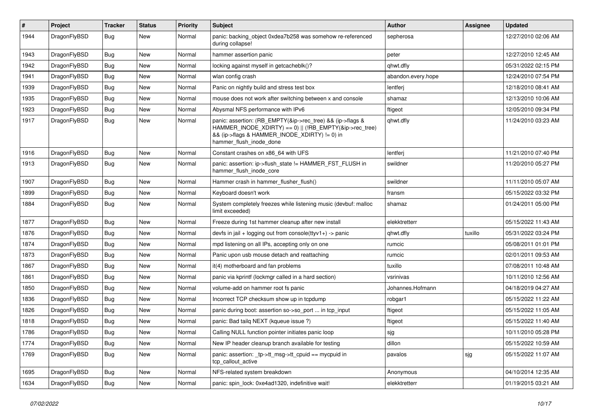| #    | Project      | <b>Tracker</b> | <b>Status</b> | <b>Priority</b> | <b>Subject</b>                                                                                                                                                                                    | Author             | Assignee | <b>Updated</b>      |
|------|--------------|----------------|---------------|-----------------|---------------------------------------------------------------------------------------------------------------------------------------------------------------------------------------------------|--------------------|----------|---------------------|
| 1944 | DragonFlyBSD | <b>Bug</b>     | New           | Normal          | panic: backing object 0xdea7b258 was somehow re-referenced<br>during collapse!                                                                                                                    | sepherosa          |          | 12/27/2010 02:06 AM |
| 1943 | DragonFlyBSD | <b>Bug</b>     | New           | Normal          | hammer assertion panic                                                                                                                                                                            | peter              |          | 12/27/2010 12:45 AM |
| 1942 | DragonFlyBSD | Bug            | New           | Normal          | locking against myself in getcacheblk()?                                                                                                                                                          | qhwt.dfly          |          | 05/31/2022 02:15 PM |
| 1941 | DragonFlyBSD | Bug            | New           | Normal          | wlan config crash                                                                                                                                                                                 | abandon.every.hope |          | 12/24/2010 07:54 PM |
| 1939 | DragonFlyBSD | <b>Bug</b>     | New           | Normal          | Panic on nightly build and stress test box                                                                                                                                                        | lentferj           |          | 12/18/2010 08:41 AM |
| 1935 | DragonFlyBSD | <b>Bug</b>     | New           | Normal          | mouse does not work after switching between x and console                                                                                                                                         | shamaz             |          | 12/13/2010 10:06 AM |
| 1923 | DragonFlyBSD | Bug            | New           | Normal          | Abysmal NFS performance with IPv6                                                                                                                                                                 | ftigeot            |          | 12/05/2010 09:34 PM |
| 1917 | DragonFlyBSD | Bug            | New           | Normal          | panic: assertion: (RB_EMPTY(&ip->rec_tree) && (ip->flags &<br>HAMMER_INODE_XDIRTY) == 0)    (!RB_EMPTY(&ip->rec_tree)<br>&& (ip->flags & HAMMER INODE XDIRTY) != 0) in<br>hammer_flush_inode_done | qhwt.dfly          |          | 11/24/2010 03:23 AM |
| 1916 | DragonFlyBSD | <b>Bug</b>     | New           | Normal          | Constant crashes on x86_64 with UFS                                                                                                                                                               | lentferj           |          | 11/21/2010 07:40 PM |
| 1913 | DragonFlyBSD | Bug            | New           | Normal          | panic: assertion: ip->flush_state != HAMMER_FST_FLUSH in<br>hammer_flush_inode_core                                                                                                               | swildner           |          | 11/20/2010 05:27 PM |
| 1907 | DragonFlyBSD | <b>Bug</b>     | New           | Normal          | Hammer crash in hammer flusher flush()                                                                                                                                                            | swildner           |          | 11/11/2010 05:07 AM |
| 1899 | DragonFlyBSD | Bug            | New           | Normal          | Keyboard doesn't work                                                                                                                                                                             | fransm             |          | 05/15/2022 03:32 PM |
| 1884 | DragonFlyBSD | Bug            | New           | Normal          | System completely freezes while listening music (devbuf: malloc<br>limit exceeded)                                                                                                                | shamaz             |          | 01/24/2011 05:00 PM |
| 1877 | DragonFlyBSD | <b>Bug</b>     | New           | Normal          | Freeze during 1st hammer cleanup after new install                                                                                                                                                | elekktretterr      |          | 05/15/2022 11:43 AM |
| 1876 | DragonFlyBSD | <b>Bug</b>     | New           | Normal          | devfs in $ ail + logging$ out from console(ttyv1+) -> panic                                                                                                                                       | qhwt.dfly          | tuxillo  | 05/31/2022 03:24 PM |
| 1874 | DragonFlyBSD | Bug            | New           | Normal          | mpd listening on all IPs, accepting only on one                                                                                                                                                   | rumcic             |          | 05/08/2011 01:01 PM |
| 1873 | DragonFlyBSD | Bug            | New           | Normal          | Panic upon usb mouse detach and reattaching                                                                                                                                                       | rumcic             |          | 02/01/2011 09:53 AM |
| 1867 | DragonFlyBSD | Bug            | New           | Normal          | it(4) motherboard and fan problems                                                                                                                                                                | tuxillo            |          | 07/08/2011 10:48 AM |
| 1861 | DragonFlyBSD | Bug            | New           | Normal          | panic via kprintf (lockmgr called in a hard section)                                                                                                                                              | vsrinivas          |          | 10/11/2010 12:56 AM |
| 1850 | DragonFlyBSD | <b>Bug</b>     | New           | Normal          | volume-add on hammer root fs panic                                                                                                                                                                | Johannes.Hofmann   |          | 04/18/2019 04:27 AM |
| 1836 | DragonFlyBSD | Bug            | New           | Normal          | Incorrect TCP checksum show up in tcpdump                                                                                                                                                         | robgar1            |          | 05/15/2022 11:22 AM |
| 1826 | DragonFlyBSD | Bug            | New           | Normal          | panic during boot: assertion so->so_port  in tcp_input                                                                                                                                            | ftigeot            |          | 05/15/2022 11:05 AM |
| 1818 | DragonFlyBSD | Bug            | New           | Normal          | panic: Bad tailq NEXT (kqueue issue ?)                                                                                                                                                            | ftigeot            |          | 05/15/2022 11:40 AM |
| 1786 | DragonFlyBSD | <b>Bug</b>     | New           | Normal          | Calling NULL function pointer initiates panic loop                                                                                                                                                | sjg                |          | 10/11/2010 05:28 PM |
| 1774 | DragonFlyBSD | <b>Bug</b>     | New           | Normal          | New IP header cleanup branch available for testing                                                                                                                                                | dillon             |          | 05/15/2022 10:59 AM |
| 1769 | DragonFlyBSD | <b>Bug</b>     | New           | Normal          | panic: assertion: _tp->tt_msg->tt_cpuid == mycpuid in<br>tcp_callout_active                                                                                                                       | pavalos            | sjg      | 05/15/2022 11:07 AM |
| 1695 | DragonFlyBSD | <b>Bug</b>     | New           | Normal          | NFS-related system breakdown                                                                                                                                                                      | Anonymous          |          | 04/10/2014 12:35 AM |
| 1634 | DragonFlyBSD | Bug            | New           | Normal          | panic: spin lock: 0xe4ad1320, indefinitive wait!                                                                                                                                                  | elekktretterr      |          | 01/19/2015 03:21 AM |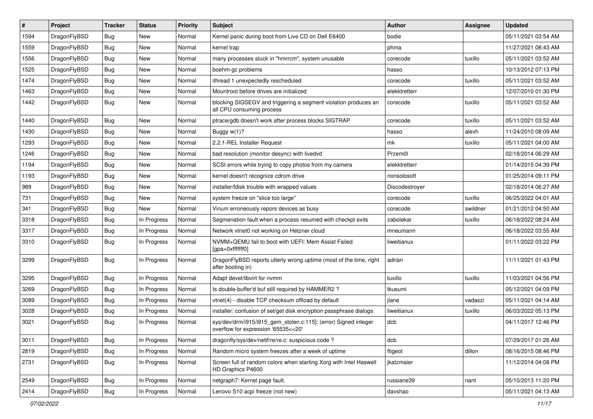| #              | Project      | <b>Tracker</b> | <b>Status</b> | <b>Priority</b> | <b>Subject</b>                                                                                         | <b>Author</b>  | <b>Assignee</b> | <b>Updated</b>      |
|----------------|--------------|----------------|---------------|-----------------|--------------------------------------------------------------------------------------------------------|----------------|-----------------|---------------------|
| 1594           | DragonFlyBSD | Bug            | <b>New</b>    | Normal          | Kernel panic during boot from Live CD on Dell E6400                                                    | bodie          |                 | 05/11/2021 03:54 AM |
| 1559           | DragonFlyBSD | Bug            | <b>New</b>    | Normal          | kernel trap                                                                                            | phma           |                 | 11/27/2021 08:43 AM |
| 1556           | DragonFlyBSD | <b>Bug</b>     | <b>New</b>    | Normal          | many processes stuck in "hmrrcm", system unusable                                                      | corecode       | tuxillo         | 05/11/2021 03:52 AM |
| 1525           | DragonFlyBSD | Bug            | <b>New</b>    | Normal          | boehm-gc problems                                                                                      | hasso          |                 | 10/13/2012 07:13 PM |
| 1474           | DragonFlyBSD | <b>Bug</b>     | <b>New</b>    | Normal          | ithread 1 unexpectedly rescheduled                                                                     | corecode       | tuxillo         | 05/11/2021 03:52 AM |
| 1463           | DragonFlyBSD | <b>Bug</b>     | New           | Normal          | Mountroot before drives are initialized                                                                | elekktretterr  |                 | 12/07/2010 01:30 PM |
| 1442           | DragonFlyBSD | Bug            | <b>New</b>    | Normal          | blocking SIGSEGV and triggering a segment violation produces an<br>all CPU consuming process           | corecode       | tuxillo         | 05/11/2021 03:52 AM |
| 1440           | DragonFlyBSD | Bug            | <b>New</b>    | Normal          | ptrace/gdb doesn't work after process blocks SIGTRAP                                                   | corecode       | tuxillo         | 05/11/2021 03:52 AM |
| 1430           | DragonFlyBSD | Bug            | <b>New</b>    | Normal          | Buggy w(1)?                                                                                            | hasso          | alexh           | 11/24/2010 08:09 AM |
| 1293           | DragonFlyBSD | <b>Bug</b>     | <b>New</b>    | Normal          | 2.2.1-REL Installer Request                                                                            | mk             | tuxillo         | 05/11/2021 04:00 AM |
| 1246           | DragonFlyBSD | <b>Bug</b>     | <b>New</b>    | Normal          | bad resolution (monitor desync) with livedvd                                                           | Przem0l        |                 | 02/18/2014 06:29 AM |
| 1194           | DragonFlyBSD | <b>Bug</b>     | <b>New</b>    | Normal          | SCSI errors while trying to copy photos from my camera                                                 | elekktretterr  |                 | 01/14/2015 04:39 PM |
| 1193           | DragonFlyBSD | <b>Bug</b>     | <b>New</b>    | Normal          | kernel doesn't recognize cdrom drive                                                                   | nonsolosoft    |                 | 01/25/2014 09:11 PM |
| 989            | DragonFlyBSD | Bug            | <b>New</b>    | Normal          | installer/fdisk trouble with wrapped values                                                            | Discodestroyer |                 | 02/18/2014 06:27 AM |
| 731            | DragonFlyBSD | Bug            | <b>New</b>    | Normal          | system freeze on "slice too large"                                                                     | corecode       | tuxillo         | 06/25/2022 04:01 AM |
| 341            | DragonFlyBSD | <b>Bug</b>     | New           | Normal          | Vinum erroneously repors devices as busy                                                               | corecode       | swildner        | 01/21/2012 04:50 AM |
| 3318           | DragonFlyBSD | Bug            | In Progress   | Normal          | Segmenation fault when a process resumed with checkpt exits                                            | zabolekar      | tuxillo         | 06/18/2022 08:24 AM |
| 3317           | DragonFlyBSD | Bug            | In Progress   | Normal          | Network vtnet0 not working on Hetzner cloud                                                            | mneumann       |                 | 06/18/2022 03:55 AM |
| 3310           | DragonFlyBSD | Bug            | In Progress   | Normal          | NVMM+QEMU fail to boot with UEFI: Mem Assist Failed<br>[gpa=0xfffffff0]                                | liweitianux    |                 | 01/11/2022 03:22 PM |
| 3299           | DragonFlyBSD | Bug            | In Progress   | Normal          | DragonFlyBSD reports utterly wrong uptime (most of the time, right<br>after booting in)                | adrian         |                 | 11/11/2021 01:43 PM |
| 3295           | DragonFlyBSD | <b>Bug</b>     | In Progress   | Normal          | Adapt devel/libvirt for nvmm                                                                           | tuxillo        | tuxillo         | 11/03/2021 04:56 PM |
| 3269           | DragonFlyBSD | <b>Bug</b>     | In Progress   | Normal          | Is double-buffer'd buf still required by HAMMER2?                                                      | tkusumi        |                 | 05/12/2021 04:09 PM |
| 3089           | DragonFlyBSD | <b>Bug</b>     | In Progress   | Normal          | vtnet(4) - disable TCP checksum offload by default                                                     | jlane          | vadaszi         | 05/11/2021 04:14 AM |
| 3028           | DragonFlyBSD | Bug            | In Progress   | Normal          | installer: confusion of set/get disk encryption passphrase dialogs                                     | liweitianux    | tuxillo         | 06/03/2022 05:13 PM |
| 3021           | DragonFlyBSD | Bug            | In Progress   | Normal          | sys/dev/drm/i915/i915_gem_stolen.c:115]: (error) Signed integer<br>overflow for expression '65535<<20' | dcb            |                 | 04/11/2017 12:46 PM |
| 3011           | DragonFlyBSD | Bug            | In Progress   | Normal          | dragonfly/sys/dev/netif/re/re.c: suspicious code?                                                      | dcb            |                 | 07/29/2017 01:26 AM |
| 2819           | DragonFlyBSD | <b>Bug</b>     | In Progress   | Normal          | Random micro system freezes after a week of uptime                                                     | ftigeot        | dillon          | 08/16/2015 08:46 PM |
| 2731           | DragonFlyBSD | Bug            | In Progress   | Normal          | Screen full of random colors when starting Xorg with Intel Haswell<br>HD Graphics P4600                | jkatzmaier     |                 | 11/12/2014 04:08 PM |
| 2549           | DragonFlyBSD | Bug            | In Progress   | Normal          | netgraph7: Kernel page fault.                                                                          | russiane39     | nant            | 05/10/2013 11:20 PM |
| $ 2414\rangle$ | DragonFlyBSD | Bug            | In Progress   | Normal          | Lenovo S10 acpi freeze (not new)                                                                       | davshao        |                 | 05/11/2021 04:13 AM |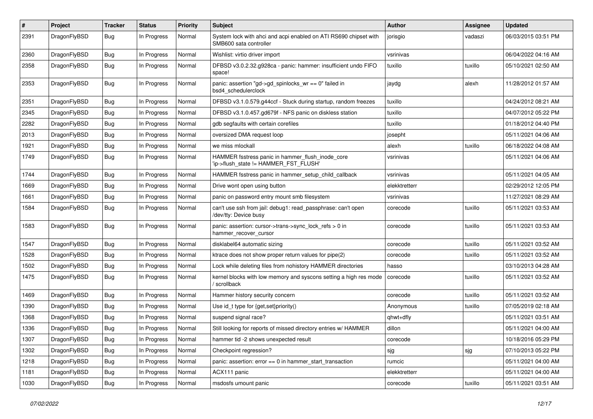| $\pmb{\#}$ | Project      | <b>Tracker</b> | <b>Status</b> | <b>Priority</b> | <b>Subject</b>                                                                             | <b>Author</b> | <b>Assignee</b> | <b>Updated</b>      |
|------------|--------------|----------------|---------------|-----------------|--------------------------------------------------------------------------------------------|---------------|-----------------|---------------------|
| 2391       | DragonFlyBSD | Bug            | In Progress   | Normal          | System lock with ahci and acpi enabled on ATI RS690 chipset with<br>SMB600 sata controller | jorisgio      | vadaszi         | 06/03/2015 03:51 PM |
| 2360       | DragonFlyBSD | <b>Bug</b>     | In Progress   | Normal          | Wishlist: virtio driver import                                                             | vsrinivas     |                 | 06/04/2022 04:16 AM |
| 2358       | DragonFlyBSD | Bug            | In Progress   | Normal          | DFBSD v3.0.2.32.g928ca - panic: hammer: insufficient undo FIFO<br>space!                   | tuxillo       | tuxillo         | 05/10/2021 02:50 AM |
| 2353       | DragonFlyBSD | Bug            | In Progress   | Normal          | panic: assertion "gd->gd_spinlocks_wr == 0" failed in<br>bsd4 schedulerclock               | jaydg         | alexh           | 11/28/2012 01:57 AM |
| 2351       | DragonFlyBSD | <b>Bug</b>     | In Progress   | Normal          | DFBSD v3.1.0.579.g44ccf - Stuck during startup, random freezes                             | tuxillo       |                 | 04/24/2012 08:21 AM |
| 2345       | DragonFlyBSD | Bug            | In Progress   | Normal          | DFBSD v3.1.0.457.gd679f - NFS panic on diskless station                                    | tuxillo       |                 | 04/07/2012 05:22 PM |
| 2282       | DragonFlyBSD | Bug            | In Progress   | Normal          | gdb segfaults with certain corefiles                                                       | tuxillo       |                 | 01/18/2012 04:40 PM |
| 2013       | DragonFlyBSD | Bug            | In Progress   | Normal          | oversized DMA request loop                                                                 | josepht       |                 | 05/11/2021 04:06 AM |
| 1921       | DragonFlyBSD | Bug            | In Progress   | Normal          | we miss mlockall                                                                           | alexh         | tuxillo         | 06/18/2022 04:08 AM |
| 1749       | DragonFlyBSD | Bug            | In Progress   | Normal          | HAMMER fsstress panic in hammer_flush_inode_core<br>'ip->flush_state != HAMMER_FST_FLUSH'  | vsrinivas     |                 | 05/11/2021 04:06 AM |
| 1744       | DragonFlyBSD | Bug            | In Progress   | Normal          | HAMMER fsstress panic in hammer_setup_child_callback                                       | vsrinivas     |                 | 05/11/2021 04:05 AM |
| 1669       | DragonFlyBSD | Bug            | In Progress   | Normal          | Drive wont open using button                                                               | elekktretterr |                 | 02/29/2012 12:05 PM |
| 1661       | DragonFlyBSD | Bug            | In Progress   | Normal          | panic on password entry mount smb filesystem                                               | vsrinivas     |                 | 11/27/2021 08:29 AM |
| 1584       | DragonFlyBSD | Bug            | In Progress   | Normal          | can't use ssh from jail: debug1: read_passphrase: can't open<br>/dev/tty: Device busy      | corecode      | tuxillo         | 05/11/2021 03:53 AM |
| 1583       | DragonFlyBSD | Bug            | In Progress   | Normal          | panic: assertion: cursor->trans->sync_lock_refs > 0 in<br>hammer_recover_cursor            | corecode      | tuxillo         | 05/11/2021 03:53 AM |
| 1547       | DragonFlyBSD | <b>Bug</b>     | In Progress   | Normal          | disklabel64 automatic sizing                                                               | corecode      | tuxillo         | 05/11/2021 03:52 AM |
| 1528       | DragonFlyBSD | Bug            | In Progress   | Normal          | ktrace does not show proper return values for pipe(2)                                      | corecode      | tuxillo         | 05/11/2021 03:52 AM |
| 1502       | DragonFlyBSD | Bug            | In Progress   | Normal          | Lock while deleting files from nohistory HAMMER directories                                | hasso         |                 | 03/10/2013 04:28 AM |
| 1475       | DragonFlyBSD | Bug            | In Progress   | Normal          | kernel blocks with low memory and syscons setting a high res mode<br>/ scrollback          | corecode      | tuxillo         | 05/11/2021 03:52 AM |
| 1469       | DragonFlyBSD | <b>Bug</b>     | In Progress   | Normal          | Hammer history security concern                                                            | corecode      | tuxillo         | 05/11/2021 03:52 AM |
| 1390       | DragonFlyBSD | Bug            | In Progress   | Normal          | Use id_t type for {get,set}priority()                                                      | Anonymous     | tuxillo         | 07/05/2019 02:18 AM |
| 1368       | DragonFlyBSD | Bug            | In Progress   | Normal          | suspend signal race?                                                                       | qhwt+dfly     |                 | 05/11/2021 03:51 AM |
| 1336       | DragonFlyBSD | Bug            | In Progress   | Normal          | Still looking for reports of missed directory entries w/ HAMMER                            | dillon        |                 | 05/11/2021 04:00 AM |
| 1307       | DragonFlyBSD | <b>Bug</b>     | In Progress   | Normal          | hammer tid -2 shows unexpected result                                                      | corecode      |                 | 10/18/2016 05:29 PM |
| 1302       | DragonFlyBSD | <b>Bug</b>     | In Progress   | Normal          | Checkpoint regression?                                                                     | sjg           | sjg             | 07/10/2013 05:22 PM |
| 1218       | DragonFlyBSD | <b>Bug</b>     | In Progress   | Normal          | panic: assertion: $error == 0$ in hammer start transaction                                 | rumcic        |                 | 05/11/2021 04:00 AM |
| 1181       | DragonFlyBSD | <b>Bug</b>     | In Progress   | Normal          | ACX111 panic                                                                               | elekktretterr |                 | 05/11/2021 04:00 AM |
| 1030       | DragonFlyBSD | <b>Bug</b>     | In Progress   | Normal          | msdosfs umount panic                                                                       | corecode      | tuxillo         | 05/11/2021 03:51 AM |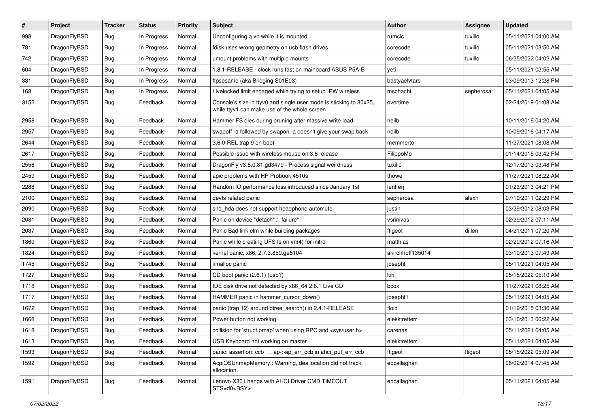| $\vert$ # | Project      | <b>Tracker</b> | <b>Status</b> | <b>Priority</b> | Subject                                                                                                            | <b>Author</b>    | <b>Assignee</b> | <b>Updated</b>      |
|-----------|--------------|----------------|---------------|-----------------|--------------------------------------------------------------------------------------------------------------------|------------------|-----------------|---------------------|
| 998       | DragonFlyBSD | Bug            | In Progress   | Normal          | Unconfiguring a vn while it is mounted                                                                             | rumcic           | tuxillo         | 05/11/2021 04:00 AM |
| 781       | DragonFlyBSD | <b>Bug</b>     | In Progress   | Normal          | fdisk uses wrong geometry on usb flash drives                                                                      | corecode         | tuxillo         | 05/11/2021 03:50 AM |
| 742       | DragonFlyBSD | <b>Bug</b>     | In Progress   | Normal          | umount problems with multiple mounts                                                                               | corecode         | tuxillo         | 06/25/2022 04:02 AM |
| 604       | DragonFlyBSD | <b>Bug</b>     | In Progress   | Normal          | 1.8.1-RELEASE - clock runs fast on mainboard ASUS P5A-B                                                            | yeti             |                 | 05/11/2021 03:55 AM |
| 331       | DragonFlyBSD | <b>Bug</b>     | In Progress   | Normal          | ftpsesame (aka Bridging S01E03)                                                                                    | bastyaelvtars    |                 | 03/09/2013 12:28 PM |
| 168       | DragonFlyBSD | <b>Bug</b>     | In Progress   | Normal          | Livelocked limit engaged while trying to setup IPW wireless                                                        | mschacht         | sepherosa       | 05/11/2021 04:05 AM |
| 3152      | DragonFlyBSD | <b>Bug</b>     | Feedback      | Normal          | Console's size in ttyv0 and single user mode is sticking to 80x25,<br>while ttyv1 can make use of the whole screen | overtime         |                 | 02/24/2019 01:08 AM |
| 2958      | DragonFlyBSD | <b>Bug</b>     | Feedback      | Normal          | Hammer FS dies during pruning after massive write load                                                             | neilb            |                 | 10/11/2016 04:20 AM |
| 2957      | DragonFlyBSD | <b>Bug</b>     | Feedback      | Normal          | swapoff -a followed by swapon -a doesn't give your swap back                                                       | neilb            |                 | 10/09/2016 04:17 AM |
| 2644      | DragonFlyBSD | <b>Bug</b>     | Feedback      | Normal          | 3.6.0-REL trap 9 on boot                                                                                           | memmerto         |                 | 11/27/2021 08:08 AM |
| 2617      | DragonFlyBSD | <b>Bug</b>     | Feedback      | Normal          | Possible issue with wireless mouse on 3.6 release                                                                  | FilippoMo        |                 | 01/14/2015 03:42 PM |
| 2556      | DragonFlyBSD | <b>Bug</b>     | Feedback      | Normal          | DragonFly v3.5.0.81.gd3479 - Process signal weirdness                                                              | tuxillo          |                 | 12/17/2013 03:48 PM |
| 2459      | DragonFlyBSD | <b>Bug</b>     | Feedback      | Normal          | apic problems with HP Probook 4510s                                                                                | thowe            |                 | 11/27/2021 08:22 AM |
| 2288      | DragonFlyBSD | <b>Bug</b>     | Feedback      | Normal          | Random IO performance loss introduced since January 1st                                                            | lentferj         |                 | 01/23/2013 04:21 PM |
| 2100      | DragonFlyBSD | <b>Bug</b>     | Feedback      | Normal          | devfs related panic                                                                                                | sepherosa        | alexh           | 07/10/2011 02:29 PM |
| 2090      | DragonFlyBSD | <b>Bug</b>     | Feedback      | Normal          | snd_hda does not support headphone automute                                                                        | justin           |                 | 03/29/2012 08:03 PM |
| 2081      | DragonFlyBSD | <b>Bug</b>     | Feedback      | Normal          | Panic on device "detach" / "failure"                                                                               | vsrinivas        |                 | 02/29/2012 07:11 AM |
| 2037      | DragonFlyBSD | <b>Bug</b>     | Feedback      | Normal          | Panic Bad link elm while building packages                                                                         | ftigeot          | dillon          | 04/21/2011 07:20 AM |
| 1860      | DragonFlyBSD | Bug            | Feedback      | Normal          | Panic while creating UFS fs on vn(4) for initrd                                                                    | matthias         |                 | 02/29/2012 07:16 AM |
| 1824      | DragonFlyBSD | Bug            | Feedback      | Normal          | kernel panic, x86, 2.7.3.859.ge5104                                                                                | akirchhoff135014 |                 | 03/10/2013 07:49 AM |
| 1745      | DragonFlyBSD | Bug            | Feedback      | Normal          | kmalloc panic                                                                                                      | josepht          |                 | 05/11/2021 04:05 AM |
| 1727      | DragonFlyBSD | Bug            | Feedback      | Normal          | CD boot panic (2.6.1) (usb?)                                                                                       | kiril            |                 | 05/15/2022 05:10 AM |
| 1718      | DragonFlyBSD | Bug            | Feedback      | Normal          | IDE disk drive not detected by x86 64 2.6.1 Live CD                                                                | bcox             |                 | 11/27/2021 08:25 AM |
| 1717      | DragonFlyBSD | Bug            | Feedback      | Normal          | HAMMER panic in hammer cursor down()                                                                               | josepht1         |                 | 05/11/2021 04:05 AM |
| 1672      | DragonFlyBSD | <b>Bug</b>     | Feedback      | Normal          | panic (trap 12) around btree search() in 2.4.1-RELEASE                                                             | floid            |                 | 01/19/2015 03:36 AM |
| 1668      | DragonFlyBSD | Bug            | Feedback      | Normal          | Power button not working                                                                                           | elekktretterr    |                 | 03/10/2013 06:22 AM |
| 1618      | DragonFlyBSD | <b>Bug</b>     | Feedback      | Normal          | collision for 'struct pmap' when using RPC and <sys user.h=""></sys>                                               | carenas          |                 | 05/11/2021 04:05 AM |
| 1613      | DragonFlyBSD | <b>Bug</b>     | Feedback      | Normal          | USB Keyboard not working on master                                                                                 | elekktretterr    |                 | 05/11/2021 04:05 AM |
| 1593      | DragonFlyBSD | <b>Bug</b>     | Feedback      | Normal          | panic: assertion: ccb == ap->ap_err_ccb in ahci_put_err_ccb                                                        | ftigeot          | ftigeot         | 05/15/2022 05:09 AM |
| 1592      | DragonFlyBSD | Bug            | Feedback      | Normal          | AcpiOSUnmapMemory: Warning, deallocation did not track<br>allocation.                                              | eocallaghan      |                 | 06/02/2014 07:45 AM |
| 1591      | DragonFlyBSD | <b>Bug</b>     | Feedback      | Normal          | Lenovo X301 hangs with AHCI Driver CMD TIMEOUT<br>STS=d0 <bsy></bsy>                                               | eocallaghan      |                 | 05/11/2021 04:05 AM |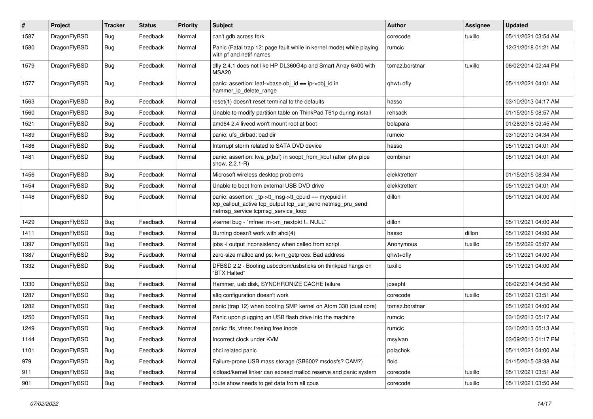| $\pmb{\#}$ | Project      | <b>Tracker</b> | <b>Status</b> | <b>Priority</b> | Subject                                                                                                                                                   | Author         | Assignee | <b>Updated</b>      |
|------------|--------------|----------------|---------------|-----------------|-----------------------------------------------------------------------------------------------------------------------------------------------------------|----------------|----------|---------------------|
| 1587       | DragonFlyBSD | Bug            | Feedback      | Normal          | can't gdb across fork                                                                                                                                     | corecode       | tuxillo  | 05/11/2021 03:54 AM |
| 1580       | DragonFlyBSD | <b>Bug</b>     | Feedback      | Normal          | Panic (Fatal trap 12: page fault while in kernel mode) while playing<br>with pf and netif names                                                           | rumcic         |          | 12/21/2018 01:21 AM |
| 1579       | DragonFlyBSD | Bug            | Feedback      | Normal          | dfly 2.4.1 does not like HP DL360G4p and Smart Array 6400 with<br>MSA <sub>20</sub>                                                                       | tomaz.borstnar | tuxillo  | 06/02/2014 02:44 PM |
| 1577       | DragonFlyBSD | <b>Bug</b>     | Feedback      | Normal          | panic: assertion: leaf->base.obj_id == ip->obj_id in<br>hammer_ip_delete_range                                                                            | qhwt+dfly      |          | 05/11/2021 04:01 AM |
| 1563       | DragonFlyBSD | <b>Bug</b>     | Feedback      | Normal          | reset(1) doesn't reset terminal to the defaults                                                                                                           | hasso          |          | 03/10/2013 04:17 AM |
| 1560       | DragonFlyBSD | <b>Bug</b>     | Feedback      | Normal          | Unable to modify partition table on ThinkPad T61p during install                                                                                          | rehsack        |          | 01/15/2015 08:57 AM |
| 1521       | DragonFlyBSD | Bug            | Feedback      | Normal          | amd64 2.4 livecd won't mount root at boot                                                                                                                 | bolapara       |          | 01/28/2018 03:45 AM |
| 1489       | DragonFlyBSD | Bug            | Feedback      | Normal          | panic: ufs dirbad: bad dir                                                                                                                                | rumcic         |          | 03/10/2013 04:34 AM |
| 1486       | DragonFlyBSD | <b>Bug</b>     | Feedback      | Normal          | Interrupt storm related to SATA DVD device                                                                                                                | hasso          |          | 05/11/2021 04:01 AM |
| 1481       | DragonFlyBSD | Bug            | Feedback      | Normal          | panic: assertion: kva_p(buf) in soopt_from_kbuf (after ipfw pipe<br>show, 2.2.1-R)                                                                        | combiner       |          | 05/11/2021 04:01 AM |
| 1456       | DragonFlyBSD | <b>Bug</b>     | Feedback      | Normal          | Microsoft wireless desktop problems                                                                                                                       | elekktretterr  |          | 01/15/2015 08:34 AM |
| 1454       | DragonFlyBSD | Bug            | Feedback      | Normal          | Unable to boot from external USB DVD drive                                                                                                                | elekktretterr  |          | 05/11/2021 04:01 AM |
| 1448       | DragonFlyBSD | Bug            | Feedback      | Normal          | panic: assertion: _tp->tt_msg->tt_cpuid == mycpuid in<br>tcp_callout_active tcp_output tcp_usr_send netmsg_pru_send<br>netmsg_service tcpmsg_service_loop | dillon         |          | 05/11/2021 04:00 AM |
| 1429       | DragonFlyBSD | Bug            | Feedback      | Normal          | vkernel bug - "mfree: m->m_nextpkt != NULL"                                                                                                               | dillon         |          | 05/11/2021 04:00 AM |
| 1411       | DragonFlyBSD | Bug            | Feedback      | Normal          | Burning doesn't work with ahci(4)                                                                                                                         | hasso          | dillon   | 05/11/2021 04:00 AM |
| 1397       | DragonFlyBSD | <b>Bug</b>     | Feedback      | Normal          | jobs -I output inconsistency when called from script                                                                                                      | Anonymous      | tuxillo  | 05/15/2022 05:07 AM |
| 1387       | DragonFlyBSD | Bug            | Feedback      | Normal          | zero-size malloc and ps: kvm_getprocs: Bad address                                                                                                        | qhwt+dfly      |          | 05/11/2021 04:00 AM |
| 1332       | DragonFlyBSD | Bug            | Feedback      | Normal          | DFBSD 2.2 - Booting usbcdrom/usbsticks on thinkpad hangs on<br>"BTX Halted"                                                                               | tuxillo        |          | 05/11/2021 04:00 AM |
| 1330       | DragonFlyBSD | <b>Bug</b>     | Feedback      | Normal          | Hammer, usb disk, SYNCHRONIZE CACHE failure                                                                                                               | josepht        |          | 06/02/2014 04:56 AM |
| 1287       | DragonFlyBSD | Bug            | Feedback      | Normal          | altg configuration doesn't work                                                                                                                           | corecode       | tuxillo  | 05/11/2021 03:51 AM |
| 1282       | DragonFlyBSD | <b>Bug</b>     | Feedback      | Normal          | panic (trap 12) when booting SMP kernel on Atom 330 (dual core)                                                                                           | tomaz.borstnar |          | 05/11/2021 04:00 AM |
| 1250       | DragonFlyBSD | <b>Bug</b>     | Feedback      | Normal          | Panic upon plugging an USB flash drive into the machine                                                                                                   | rumcic         |          | 03/10/2013 05:17 AM |
| 1249       | DragonFlyBSD | <b>Bug</b>     | Feedback      | Normal          | panic: ffs vfree: freeing free inode                                                                                                                      | rumcic         |          | 03/10/2013 05:13 AM |
| 1144       | DragonFlyBSD | <b>Bug</b>     | Feedback      | Normal          | Incorrect clock under KVM                                                                                                                                 | msylvan        |          | 03/09/2013 01:17 PM |
| 1101       | DragonFlyBSD | <b>Bug</b>     | Feedback      | Normal          | ohci related panic                                                                                                                                        | polachok       |          | 05/11/2021 04:00 AM |
| 979        | DragonFlyBSD | <b>Bug</b>     | Feedback      | Normal          | Failure-prone USB mass storage (SB600? msdosfs? CAM?)                                                                                                     | floid          |          | 01/15/2015 08:38 AM |
| 911        | DragonFlyBSD | Bug            | Feedback      | Normal          | kldload/kernel linker can exceed malloc reserve and panic system                                                                                          | corecode       | tuxillo  | 05/11/2021 03:51 AM |
| 901        | DragonFlyBSD | <b>Bug</b>     | Feedback      | Normal          | route show needs to get data from all cpus                                                                                                                | corecode       | tuxillo  | 05/11/2021 03:50 AM |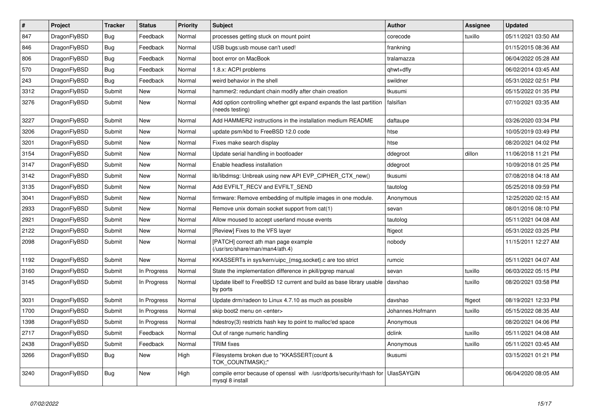| $\vert$ # | <b>Project</b> | <b>Tracker</b> | <b>Status</b> | <b>Priority</b> | <b>Subject</b>                                                                          | <b>Author</b>     | <b>Assignee</b> | <b>Updated</b>      |
|-----------|----------------|----------------|---------------|-----------------|-----------------------------------------------------------------------------------------|-------------------|-----------------|---------------------|
| 847       | DragonFlyBSD   | <b>Bug</b>     | Feedback      | Normal          | processes getting stuck on mount point                                                  | corecode          | tuxillo         | 05/11/2021 03:50 AM |
| 846       | DragonFlyBSD   | Bug            | Feedback      | Normal          | USB bugs:usb mouse can't used!                                                          | frankning         |                 | 01/15/2015 08:36 AM |
| 806       | DragonFlyBSD   | <b>Bug</b>     | Feedback      | Normal          | boot error on MacBook                                                                   | tralamazza        |                 | 06/04/2022 05:28 AM |
| 570       | DragonFlyBSD   | Bug            | Feedback      | Normal          | 1.8.x: ACPI problems                                                                    | qhwt+dfly         |                 | 06/02/2014 03:45 AM |
| 243       | DragonFlyBSD   | <b>Bug</b>     | Feedback      | Normal          | weird behavior in the shell                                                             | swildner          |                 | 05/31/2022 02:51 PM |
| 3312      | DragonFlyBSD   | Submit         | <b>New</b>    | Normal          | hammer2: redundant chain modify after chain creation                                    | tkusumi           |                 | 05/15/2022 01:35 PM |
| 3276      | DragonFlyBSD   | Submit         | New           | Normal          | Add option controlling whether gpt expand expands the last partition<br>(needs testing) | falsifian         |                 | 07/10/2021 03:35 AM |
| 3227      | DragonFlyBSD   | Submit         | <b>New</b>    | Normal          | Add HAMMER2 instructions in the installation medium README                              | daftaupe          |                 | 03/26/2020 03:34 PM |
| 3206      | DragonFlyBSD   | Submit         | <b>New</b>    | Normal          | update psm/kbd to FreeBSD 12.0 code                                                     | htse              |                 | 10/05/2019 03:49 PM |
| 3201      | DragonFlyBSD   | Submit         | <b>New</b>    | Normal          | Fixes make search display                                                               | htse              |                 | 08/20/2021 04:02 PM |
| 3154      | DragonFlyBSD   | Submit         | <b>New</b>    | Normal          | Update serial handling in bootloader                                                    | ddegroot          | dillon          | 11/06/2018 11:21 PM |
| 3147      | DragonFlyBSD   | Submit         | <b>New</b>    | Normal          | Enable headless installation                                                            | ddegroot          |                 | 10/09/2018 01:25 PM |
| 3142      | DragonFlyBSD   | Submit         | <b>New</b>    | Normal          | lib/libdmsg: Unbreak using new API EVP_CIPHER_CTX_new()                                 | tkusumi           |                 | 07/08/2018 04:18 AM |
| 3135      | DragonFlyBSD   | Submit         | New           | Normal          | Add EVFILT_RECV and EVFILT_SEND                                                         | tautolog          |                 | 05/25/2018 09:59 PM |
| 3041      | DragonFlyBSD   | Submit         | <b>New</b>    | Normal          | firmware: Remove embedding of multiple images in one module.                            | Anonymous         |                 | 12/25/2020 02:15 AM |
| 2933      | DragonFlyBSD   | Submit         | New           | Normal          | Remove unix domain socket support from cat(1)                                           | sevan             |                 | 08/01/2016 08:10 PM |
| 2921      | DragonFlyBSD   | Submit         | <b>New</b>    | Normal          | Allow moused to accept userland mouse events                                            | tautolog          |                 | 05/11/2021 04:08 AM |
| 2122      | DragonFlyBSD   | Submit         | <b>New</b>    | Normal          | [Review] Fixes to the VFS layer                                                         | ftigeot           |                 | 05/31/2022 03:25 PM |
| 2098      | DragonFlyBSD   | Submit         | New           | Normal          | [PATCH] correct ath man page example<br>(/usr/src/share/man/man4/ath.4)                 | nobody            |                 | 11/15/2011 12:27 AM |
| 1192      | DragonFlyBSD   | Submit         | <b>New</b>    | Normal          | KKASSERTs in sys/kern/uipc_{msg,socket}.c are too strict                                | rumcic            |                 | 05/11/2021 04:07 AM |
| 3160      | DragonFlyBSD   | Submit         | In Progress   | Normal          | State the implementation difference in pkill/pgrep manual                               | sevan             | tuxillo         | 06/03/2022 05:15 PM |
| 3145      | DragonFlyBSD   | Submit         | In Progress   | Normal          | Update libelf to FreeBSD 12 current and build as base library usable<br>by ports        | davshao           | tuxillo         | 08/20/2021 03:58 PM |
| 3031      | DragonFlyBSD   | Submit         | In Progress   | Normal          | Update drm/radeon to Linux 4.7.10 as much as possible                                   | davshao           | ftigeot         | 08/19/2021 12:33 PM |
| 1700      | DragonFlyBSD   | Submit         | In Progress   | Normal          | skip boot2 menu on <enter></enter>                                                      | Johannes.Hofmann  | tuxillo         | 05/15/2022 08:35 AM |
| 1398      | DragonFlyBSD   | Submit         | In Progress   | Normal          | hdestroy(3) restricts hash key to point to malloc'ed space                              | Anonymous         |                 | 08/20/2021 04:06 PM |
| 2717      | DragonFlyBSD   | Submit         | Feedback      | Normal          | Out of range numeric handling                                                           | dclink            | tuxillo         | 05/11/2021 04:08 AM |
| 2438      | DragonFlyBSD   | Submit         | Feedback      | Normal          | <b>TRIM</b> fixes                                                                       | Anonymous         | tuxillo         | 05/11/2021 03:45 AM |
| 3266      | DragonFlyBSD   | Bug            | <b>New</b>    | High            | Filesystems broken due to "KKASSERT(count &<br>TOK_COUNTMASK);"                         | tkusumi           |                 | 03/15/2021 01:21 PM |
| 3240      | DragonFlyBSD   | Bug            | New           | High            | compile error because of openssl with /usr/dports/security/rhash for<br>mysql 8 install | <b>UlasSAYGIN</b> |                 | 06/04/2020 08:05 AM |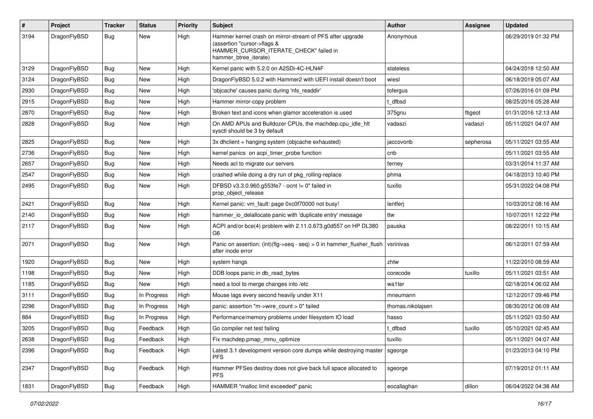| #    | Project      | <b>Tracker</b> | <b>Status</b> | <b>Priority</b> | Subject                                                                                                                                                     | <b>Author</b>     | Assignee  | <b>Updated</b>      |
|------|--------------|----------------|---------------|-----------------|-------------------------------------------------------------------------------------------------------------------------------------------------------------|-------------------|-----------|---------------------|
| 3194 | DragonFlyBSD | Bug            | New           | High            | Hammer kernel crash on mirror-stream of PFS after upgrade<br>(assertion "cursor->flags &<br>HAMMER_CURSOR_ITERATE_CHECK" failed in<br>hammer_btree_iterate) | Anonymous         |           | 06/29/2019 01:32 PM |
| 3129 | DragonFlyBSD | Bug            | <b>New</b>    | High            | Kernel panic with 5.2.0 on A2SDi-4C-HLN4F                                                                                                                   | stateless         |           | 04/24/2018 12:50 AM |
| 3124 | DragonFlyBSD | <b>Bug</b>     | New           | High            | DragonFlyBSD 5.0.2 with Hammer2 with UEFI install doesn't boot                                                                                              | wiesl             |           | 06/18/2019 05:07 AM |
| 2930 | DragonFlyBSD | <b>Bug</b>     | <b>New</b>    | High            | 'objcache' causes panic during 'nfs readdir'                                                                                                                | tofergus          |           | 07/26/2016 01:09 PM |
| 2915 | DragonFlyBSD | <b>Bug</b>     | New           | High            | Hammer mirror-copy problem                                                                                                                                  | t dfbsd           |           | 08/25/2016 05:28 AM |
| 2870 | DragonFlyBSD | <b>Bug</b>     | <b>New</b>    | High            | Broken text and icons when glamor acceleration is used                                                                                                      | 375gnu            | ftigeot   | 01/31/2016 12:13 AM |
| 2828 | DragonFlyBSD | <b>Bug</b>     | New           | High            | On AMD APUs and Bulldozer CPUs, the machdep.cpu_idle_hlt<br>sysctl should be 3 by default                                                                   | vadaszi           | vadaszi   | 05/11/2021 04:07 AM |
| 2825 | DragonFlyBSD | Bug            | <b>New</b>    | High            | 3x dhclient = hanging system (objcache exhausted)                                                                                                           | jaccovonb         | sepherosa | 05/11/2021 03:55 AM |
| 2736 | DragonFlyBSD | Bug            | <b>New</b>    | High            | kernel panics on acpi_timer_probe function                                                                                                                  | cnb               |           | 05/11/2021 03:55 AM |
| 2657 | DragonFlyBSD | <b>Bug</b>     | <b>New</b>    | High            | Needs acl to migrate our servers                                                                                                                            | ferney            |           | 03/31/2014 11:37 AM |
| 2547 | DragonFlyBSD | Bug            | <b>New</b>    | High            | crashed while doing a dry run of pkg_rolling-replace                                                                                                        | phma              |           | 04/18/2013 10:40 PM |
| 2495 | DragonFlyBSD | Bug            | New           | High            | DFBSD v3.3.0.960.g553fe7 - ocnt != 0" failed in<br>prop_object_release                                                                                      | tuxillo           |           | 05/31/2022 04:08 PM |
| 2421 | DragonFlyBSD | Bug            | <b>New</b>    | High            | Kernel panic: vm_fault: page 0xc0f70000 not busy!                                                                                                           | lentferj          |           | 10/03/2012 08:16 AM |
| 2140 | DragonFlyBSD | <b>Bug</b>     | New           | High            | hammer_io_delallocate panic with 'duplicate entry' message                                                                                                  | ttw               |           | 10/07/2011 12:22 PM |
| 2117 | DragonFlyBSD | Bug            | New           | High            | ACPI and/or bce(4) problem with 2.11.0.673.g0d557 on HP DL380<br>G <sub>6</sub>                                                                             | pauska            |           | 08/22/2011 10:15 AM |
| 2071 | DragonFlyBSD | Bug            | New           | High            | Panic on assertion: (int)(flg->seq - seq) > 0 in hammer_flusher_flush<br>after inode error                                                                  | vsrinivas         |           | 06/12/2011 07:59 AM |
| 1920 | DragonFlyBSD | Bug            | <b>New</b>    | High            | system hangs                                                                                                                                                | zhtw              |           | 11/22/2010 08:59 AM |
| 1198 | DragonFlyBSD | Bug            | New           | High            | DDB loops panic in db_read_bytes                                                                                                                            | corecode          | tuxillo   | 05/11/2021 03:51 AM |
| 1185 | DragonFlyBSD | Bug            | <b>New</b>    | High            | need a tool to merge changes into /etc                                                                                                                      | wa1ter            |           | 02/18/2014 06:02 AM |
| 3111 | DragonFlyBSD | <b>Bug</b>     | In Progress   | High            | Mouse lags every second heavily under X11                                                                                                                   | mneumann          |           | 12/12/2017 09:46 PM |
| 2296 | DragonFlyBSD | <b>Bug</b>     | In Progress   | High            | panic: assertion "m->wire count > 0" failed                                                                                                                 | thomas.nikolajsen |           | 08/30/2012 06:09 AM |
| 884  | DragonFlyBSD | Bug            | In Progress   | High            | Performance/memory problems under filesystem IO load                                                                                                        | hasso             |           | 05/11/2021 03:50 AM |
| 3205 | DragonFlyBSD | Bug            | Feedback      | High            | Go compiler net test failing                                                                                                                                | t dfbsd           | tuxillo   | 05/10/2021 02:45 AM |
| 2638 | DragonFlyBSD | Bug            | Feedback      | High            | Fix machdep.pmap_mmu_optimize                                                                                                                               | tuxillo           |           | 05/11/2021 04:07 AM |
| 2396 | DragonFlyBSD | <b>Bug</b>     | Feedback      | High            | Latest 3.1 development version core dumps while destroying master<br><b>PFS</b>                                                                             | sgeorge           |           | 01/23/2013 04:10 PM |
| 2347 | DragonFlyBSD | <b>Bug</b>     | Feedback      | High            | Hammer PFSes destroy does not give back full space allocated to<br>PFS.                                                                                     | sgeorge           |           | 07/19/2012 01:11 AM |
| 1831 | DragonFlyBSD | Bug            | Feedback      | High            | HAMMER "malloc limit exceeded" panic                                                                                                                        | eocallaghan       | dillon    | 06/04/2022 04:38 AM |